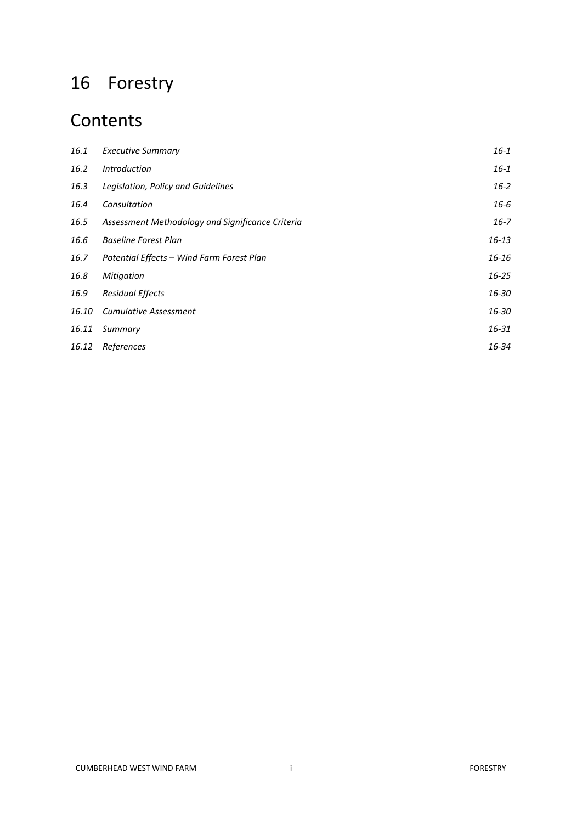# 16 Forestry

# **Contents**

| 16.1  | <b>Executive Summary</b>                         | $16 - 1$ |
|-------|--------------------------------------------------|----------|
| 16.2  | <b>Introduction</b>                              | $16 - 1$ |
| 16.3  | Legislation, Policy and Guidelines               | 16-2     |
| 16.4  | Consultation                                     | 16-6     |
| 16.5  | Assessment Methodology and Significance Criteria | 16-7     |
| 16.6  | <b>Baseline Forest Plan</b>                      | 16-13    |
| 16.7  | Potential Effects - Wind Farm Forest Plan        | 16-16    |
| 16.8  | Mitigation                                       | 16-25    |
| 16.9  | <b>Residual Effects</b>                          | 16-30    |
| 16.10 | <b>Cumulative Assessment</b>                     | 16-30    |
| 16.11 | Summary                                          | 16-31    |
| 16.12 | References                                       | 16-34    |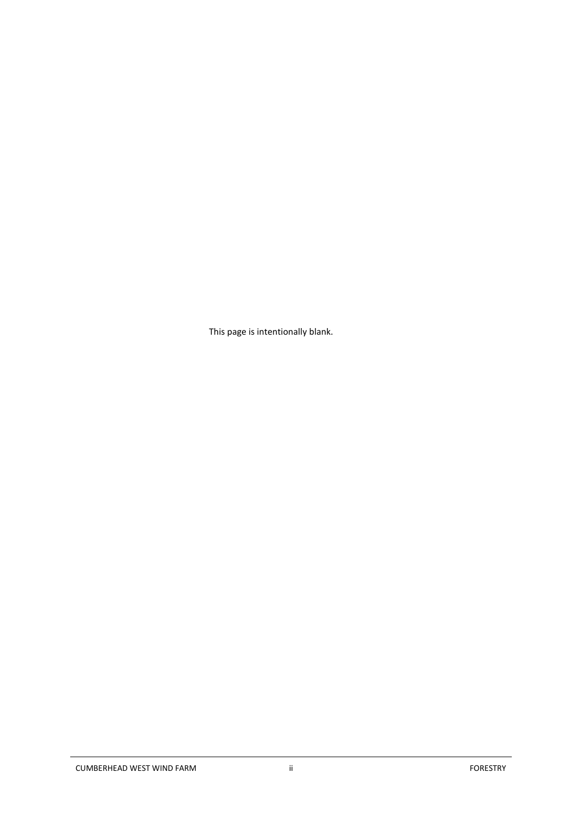This page is intentionally blank.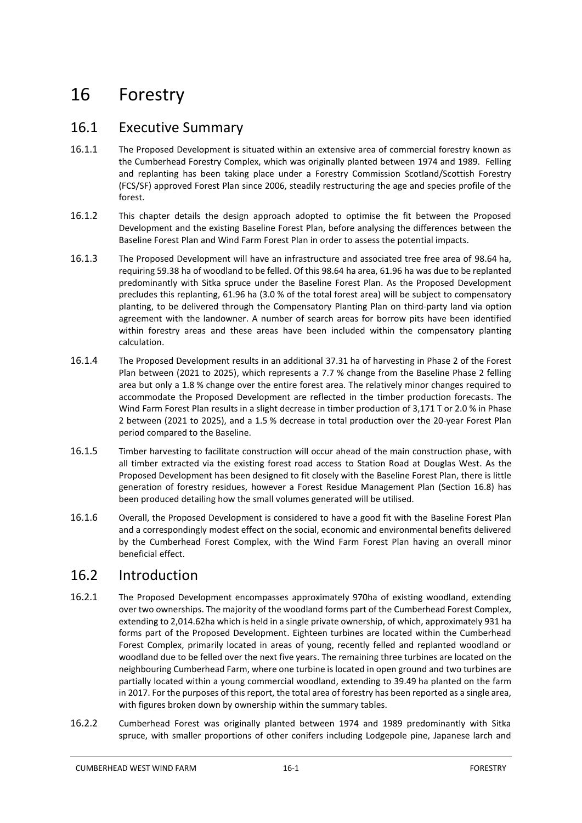# 16 Forestry

## <span id="page-2-0"></span>16.1 Executive Summary

- 16.1.1 The Proposed Development is situated within an extensive area of commercial forestry known as the Cumberhead Forestry Complex, which was originally planted between 1974 and 1989. Felling and replanting has been taking place under a Forestry Commission Scotland/Scottish Forestry (FCS/SF) approved Forest Plan since 2006, steadily restructuring the age and species profile of the forest.
- 16.1.2 This chapter details the design approach adopted to optimise the fit between the Proposed Development and the existing Baseline Forest Plan, before analysing the differences between the Baseline Forest Plan and Wind Farm Forest Plan in order to assess the potential impacts.
- 16.1.3 The Proposed Development will have an infrastructure and associated tree free area of 98.64 ha, requiring 59.38 ha of woodland to be felled. Of this 98.64 ha area, 61.96 ha was due to be replanted predominantly with Sitka spruce under the Baseline Forest Plan. As the Proposed Development precludes this replanting, 61.96 ha (3.0 % of the total forest area) will be subject to compensatory planting, to be delivered through the Compensatory Planting Plan on third-party land via option agreement with the landowner. A number of search areas for borrow pits have been identified within forestry areas and these areas have been included within the compensatory planting calculation.
- 16.1.4 The Proposed Development results in an additional 37.31 ha of harvesting in Phase 2 of the Forest Plan between (2021 to 2025), which represents a 7.7 % change from the Baseline Phase 2 felling area but only a 1.8 % change over the entire forest area. The relatively minor changes required to accommodate the Proposed Development are reflected in the timber production forecasts. The Wind Farm Forest Plan results in a slight decrease in timber production of 3,171 T or 2.0 % in Phase 2 between (2021 to 2025), and a 1.5 % decrease in total production over the 20-year Forest Plan period compared to the Baseline.
- 16.1.5 Timber harvesting to facilitate construction will occur ahead of the main construction phase, with all timber extracted via the existing forest road access to Station Road at Douglas West. As the Proposed Development has been designed to fit closely with the Baseline Forest Plan, there is little generation of forestry residues, however a Forest Residue Management Plan (Section 16.8) has been produced detailing how the small volumes generated will be utilised.
- 16.1.6 Overall, the Proposed Development is considered to have a good fit with the Baseline Forest Plan and a correspondingly modest effect on the social, economic and environmental benefits delivered by the Cumberhead Forest Complex, with the Wind Farm Forest Plan having an overall minor beneficial effect.

# <span id="page-2-1"></span>16.2 Introduction

- 16.2.1 The Proposed Development encompasses approximately 970ha of existing woodland, extending over two ownerships. The majority of the woodland forms part of the Cumberhead Forest Complex, extending to 2,014.62ha which is held in a single private ownership, of which, approximately 931 ha forms part of the Proposed Development. Eighteen turbines are located within the Cumberhead Forest Complex, primarily located in areas of young, recently felled and replanted woodland or woodland due to be felled over the next five years. The remaining three turbines are located on the neighbouring Cumberhead Farm, where one turbine is located in open ground and two turbines are partially located within a young commercial woodland, extending to 39.49 ha planted on the farm in 2017. For the purposes of this report, the total area of forestry has been reported as a single area, with figures broken down by ownership within the summary tables.
- 16.2.2 Cumberhead Forest was originally planted between 1974 and 1989 predominantly with Sitka spruce, with smaller proportions of other conifers including Lodgepole pine, Japanese larch and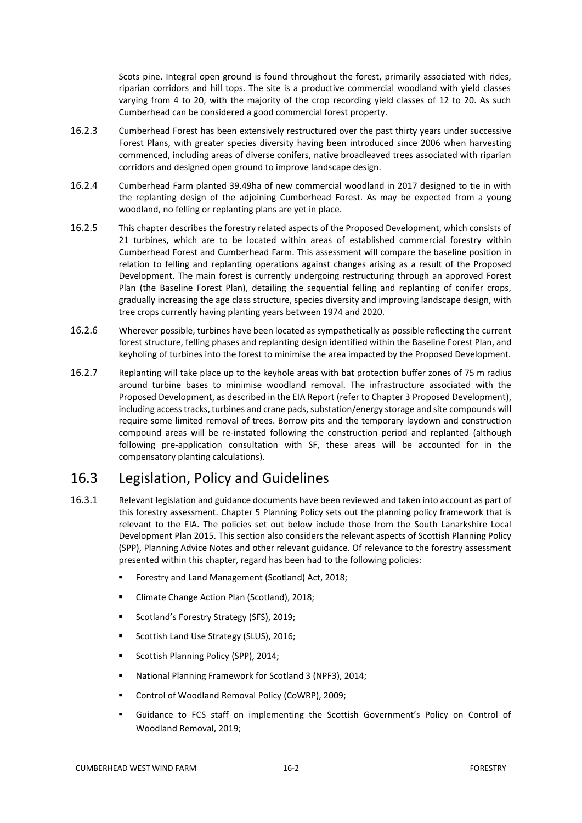Scots pine. Integral open ground is found throughout the forest, primarily associated with rides, riparian corridors and hill tops. The site is a productive commercial woodland with yield classes varying from 4 to 20, with the majority of the crop recording yield classes of 12 to 20. As such Cumberhead can be considered a good commercial forest property.

- 16.2.3 Cumberhead Forest has been extensively restructured over the past thirty years under successive Forest Plans, with greater species diversity having been introduced since 2006 when harvesting commenced, including areas of diverse conifers, native broadleaved trees associated with riparian corridors and designed open ground to improve landscape design.
- 16.2.4 Cumberhead Farm planted 39.49ha of new commercial woodland in 2017 designed to tie in with the replanting design of the adjoining Cumberhead Forest. As may be expected from a young woodland, no felling or replanting plans are yet in place.
- 16.2.5 This chapter describes the forestry related aspects of the Proposed Development, which consists of 21 turbines, which are to be located within areas of established commercial forestry within Cumberhead Forest and Cumberhead Farm. This assessment will compare the baseline position in relation to felling and replanting operations against changes arising as a result of the Proposed Development. The main forest is currently undergoing restructuring through an approved Forest Plan (the Baseline Forest Plan), detailing the sequential felling and replanting of conifer crops, gradually increasing the age class structure, species diversity and improving landscape design, with tree crops currently having planting years between 1974 and 2020.
- 16.2.6 Wherever possible, turbines have been located as sympathetically as possible reflecting the current forest structure, felling phases and replanting design identified within the Baseline Forest Plan, and keyholing of turbines into the forest to minimise the area impacted by the Proposed Development.
- 16.2.7 Replanting will take place up to the keyhole areas with bat protection buffer zones of 75 m radius around turbine bases to minimise woodland removal. The infrastructure associated with the Proposed Development, as described in the EIA Report (refer to Chapter 3 Proposed Development), including access tracks, turbines and crane pads, substation/energy storage and site compounds will require some limited removal of trees. Borrow pits and the temporary laydown and construction compound areas will be re-instated following the construction period and replanted (although following pre-application consultation with SF, these areas will be accounted for in the compensatory planting calculations).

# <span id="page-3-0"></span>16.3 Legislation, Policy and Guidelines

- 16.3.1 Relevant legislation and guidance documents have been reviewed and taken into account as part of this forestry assessment. Chapter 5 Planning Policy sets out the planning policy framework that is relevant to the EIA. The policies set out below include those from the South Lanarkshire Local Development Plan 2015. This section also considers the relevant aspects of Scottish Planning Policy (SPP), Planning Advice Notes and other relevant guidance. Of relevance to the forestry assessment presented within this chapter, regard has been had to the following policies:
	- Forestry and Land Management (Scotland) Act, 2018;
	- Climate Change Action Plan (Scotland), 2018;
	- Scotland's Forestry Strategy (SFS), 2019;
	- Scottish Land Use Strategy (SLUS), 2016;
	- Scottish Planning Policy (SPP), 2014;
	- National Planning Framework for Scotland 3 (NPF3), 2014;
	- Control of Woodland Removal Policy (CoWRP), 2009;
	- Guidance to FCS staff on implementing the Scottish Government's Policy on Control of Woodland Removal, 2019;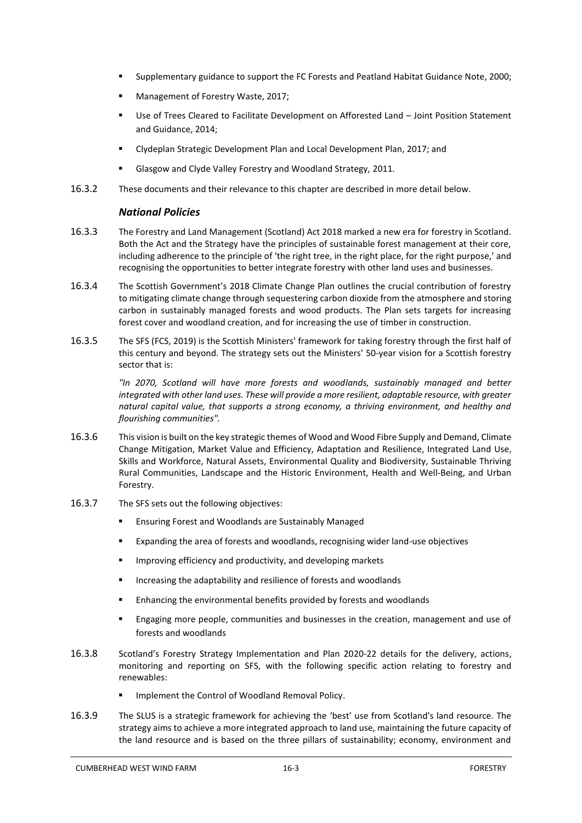- Supplementary guidance to support the FC Forests and Peatland Habitat Guidance Note, 2000;
- Management of Forestry Waste, 2017;
- Use of Trees Cleared to Facilitate Development on Afforested Land Joint Position Statement and Guidance, 2014;
- Clydeplan Strategic Development Plan and Local Development Plan, 2017; and
- Glasgow and Clyde Valley Forestry and Woodland Strategy, 2011.
- 16.3.2 These documents and their relevance to this chapter are described in more detail below.

#### *National Policies*

- 16.3.3 The Forestry and Land Management (Scotland) Act 2018 marked a new era for forestry in Scotland. Both the Act and the Strategy have the principles of sustainable forest management at their core, including adherence to the principle of 'the right tree, in the right place, for the right purpose,' and recognising the opportunities to better integrate forestry with other land uses and businesses.
- 16.3.4 The Scottish Government's 2018 Climate Change Plan outlines the crucial contribution of forestry to mitigating climate change through sequestering carbon dioxide from the atmosphere and storing carbon in sustainably managed forests and wood products. The Plan sets targets for increasing forest cover and woodland creation, and for increasing the use of timber in construction.
- 16.3.5 The SFS (FCS, 2019) is the Scottish Ministers' framework for taking forestry through the first half of this century and beyond. The strategy sets out the Ministers' 50-year vision for a Scottish forestry sector that is:

*"In 2070, Scotland will have more forests and woodlands, sustainably managed and better integrated with other land uses. These will provide a more resilient, adaptable resource, with greater natural capital value, that supports a strong economy, a thriving environment, and healthy and flourishing communities".*

- 16.3.6 This vision is built on the key strategic themes of Wood and Wood Fibre Supply and Demand, Climate Change Mitigation, Market Value and Efficiency, Adaptation and Resilience, Integrated Land Use, Skills and Workforce, Natural Assets, Environmental Quality and Biodiversity, Sustainable Thriving Rural Communities, Landscape and the Historic Environment, Health and Well-Being, and Urban Forestry.
- 16.3.7 The SFS sets out the following objectives:
	- Ensuring Forest and Woodlands are Sustainably Managed
	- Expanding the area of forests and woodlands, recognising wider land-use objectives
	- Improving efficiency and productivity, and developing markets
	- Increasing the adaptability and resilience of forests and woodlands
	- Enhancing the environmental benefits provided by forests and woodlands
	- Engaging more people, communities and businesses in the creation, management and use of forests and woodlands
- 16.3.8 Scotland's Forestry Strategy Implementation and Plan 2020-22 details for the delivery, actions, monitoring and reporting on SFS, with the following specific action relating to forestry and renewables:
	- **■** Implement the Control of Woodland Removal Policy.
- 16.3.9 The SLUS is a strategic framework for achieving the 'best' use from Scotland's land resource. The strategy aims to achieve a more integrated approach to land use, maintaining the future capacity of the land resource and is based on the three pillars of sustainability; economy, environment and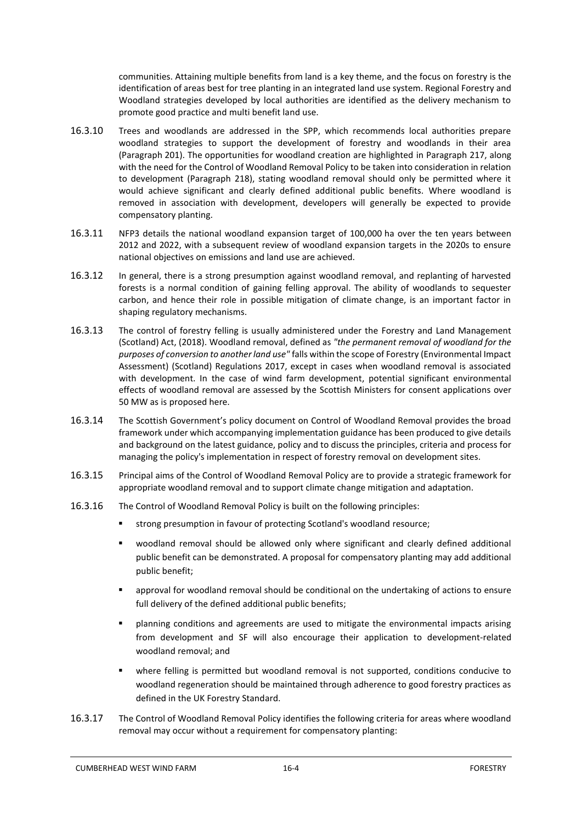communities. Attaining multiple benefits from land is a key theme, and the focus on forestry is the identification of areas best for tree planting in an integrated land use system. Regional Forestry and Woodland strategies developed by local authorities are identified as the delivery mechanism to promote good practice and multi benefit land use.

- 16.3.10 Trees and woodlands are addressed in the SPP, which recommends local authorities prepare woodland strategies to support the development of forestry and woodlands in their area (Paragraph 201). The opportunities for woodland creation are highlighted in Paragraph 217, along with the need for the Control of Woodland Removal Policy to be taken into consideration in relation to development (Paragraph 218), stating woodland removal should only be permitted where it would achieve significant and clearly defined additional public benefits. Where woodland is removed in association with development, developers will generally be expected to provide compensatory planting.
- 16.3.11 NFP3 details the national woodland expansion target of 100,000 ha over the ten years between 2012 and 2022, with a subsequent review of woodland expansion targets in the 2020s to ensure national objectives on emissions and land use are achieved.
- 16.3.12 In general, there is a strong presumption against woodland removal, and replanting of harvested forests is a normal condition of gaining felling approval. The ability of woodlands to sequester carbon, and hence their role in possible mitigation of climate change, is an important factor in shaping regulatory mechanisms.
- 16.3.13 The control of forestry felling is usually administered under the Forestry and Land Management (Scotland) Act, (2018). Woodland removal, defined as *"the permanent removal of woodland for the purposes of conversion to another land use"* falls within the scope of Forestry (Environmental Impact Assessment) (Scotland) Regulations 2017, except in cases when woodland removal is associated with development. In the case of wind farm development, potential significant environmental effects of woodland removal are assessed by the Scottish Ministers for consent applications over 50 MW as is proposed here.
- 16.3.14 The Scottish Government's policy document on Control of Woodland Removal provides the broad framework under which accompanying implementation guidance has been produced to give details and background on the latest guidance, policy and to discuss the principles, criteria and process for managing the policy's implementation in respect of forestry removal on development sites.
- 16.3.15 Principal aims of the Control of Woodland Removal Policy are to provide a strategic framework for appropriate woodland removal and to support climate change mitigation and adaptation.
- 16.3.16 The Control of Woodland Removal Policy is built on the following principles:
	- strong presumption in favour of protecting Scotland's woodland resource;
	- woodland removal should be allowed only where significant and clearly defined additional public benefit can be demonstrated. A proposal for compensatory planting may add additional public benefit;
	- approval for woodland removal should be conditional on the undertaking of actions to ensure full delivery of the defined additional public benefits;
	- planning conditions and agreements are used to mitigate the environmental impacts arising from development and SF will also encourage their application to development-related woodland removal; and
	- where felling is permitted but woodland removal is not supported, conditions conducive to woodland regeneration should be maintained through adherence to good forestry practices as defined in the UK Forestry Standard.
- 16.3.17 The Control of Woodland Removal Policy identifies the following criteria for areas where woodland removal may occur without a requirement for compensatory planting: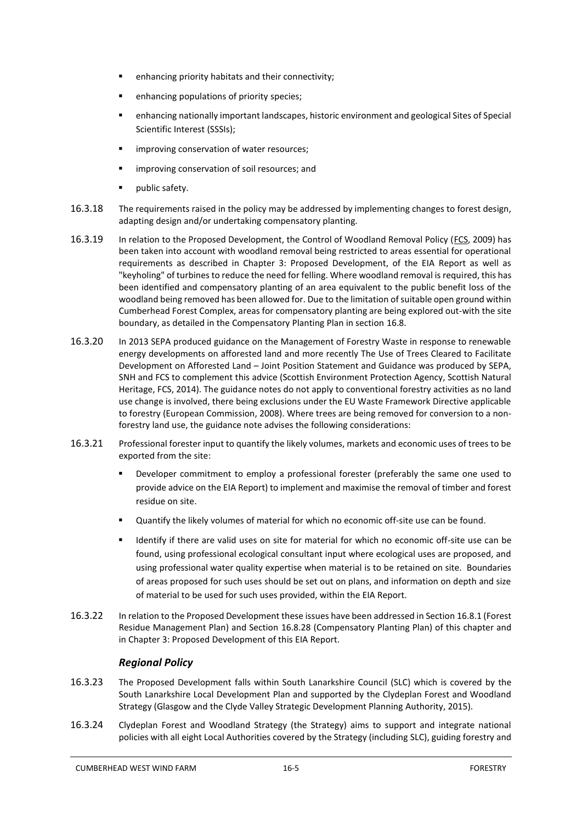- enhancing priority habitats and their connectivity;
- enhancing populations of priority species;
- enhancing nationally important landscapes, historic environment and geological Sites of Special Scientific Interest (SSSIs);
- improving conservation of water resources;
- **■** improving conservation of soil resources; and
- public safety.
- 16.3.18 The requirements raised in the policy may be addressed by implementing changes to forest design, adapting design and/or undertaking compensatory planting.
- 16.3.19 In relation to the Proposed Development, the Control of Woodland Removal Policy (FCS, 2009) has been taken into account with woodland removal being restricted to areas essential for operational requirements as described in Chapter 3: Proposed Development, of the EIA Report as well as "keyholing" of turbines to reduce the need for felling. Where woodland removal is required, this has been identified and compensatory planting of an area equivalent to the public benefit loss of the woodland being removed has been allowed for. Due to the limitation of suitable open ground within Cumberhead Forest Complex, areas for compensatory planting are being explored out-with the site boundary, as detailed in the Compensatory Planting Plan in section 16.8.
- 16.3.20 In 2013 SEPA produced guidance on the Management of Forestry Waste in response to renewable energy developments on afforested land and more recently The Use of Trees Cleared to Facilitate Development on Afforested Land – Joint Position Statement and Guidance was produced by SEPA, SNH and FCS to complement this advice (Scottish Environment Protection Agency, Scottish Natural Heritage, FCS, 2014). The guidance notes do not apply to conventional forestry activities as no land use change is involved, there being exclusions under the EU Waste Framework Directive applicable to forestry (European Commission, 2008). Where trees are being removed for conversion to a nonforestry land use, the guidance note advises the following considerations:
- 16.3.21 Professional forester input to quantify the likely volumes, markets and economic uses of trees to be exported from the site:
	- Developer commitment to employ a professional forester (preferably the same one used to provide advice on the EIA Report) to implement and maximise the removal of timber and forest residue on site.
	- Quantify the likely volumes of material for which no economic off-site use can be found.
	- Identify if there are valid uses on site for material for which no economic off-site use can be found, using professional ecological consultant input where ecological uses are proposed, and using professional water quality expertise when material is to be retained on site. Boundaries of areas proposed for such uses should be set out on plans, and information on depth and size of material to be used for such uses provided, within the EIA Report.
- 16.3.22 In relation to the Proposed Development these issues have been addressed in Section 16.8.1 (Forest Residue Management Plan) and Section 16.8.28 (Compensatory Planting Plan) of this chapter and in Chapter 3: Proposed Development of this EIA Report.

#### *Regional Policy*

- 16.3.23 The Proposed Development falls within South Lanarkshire Council (SLC) which is covered by the South Lanarkshire Local Development Plan and supported by the Clydeplan Forest and Woodland Strategy (Glasgow and the Clyde Valley Strategic Development Planning Authority, 2015).
- 16.3.24 Clydeplan Forest and Woodland Strategy (the Strategy) aims to support and integrate national policies with all eight Local Authorities covered by the Strategy (including SLC), guiding forestry and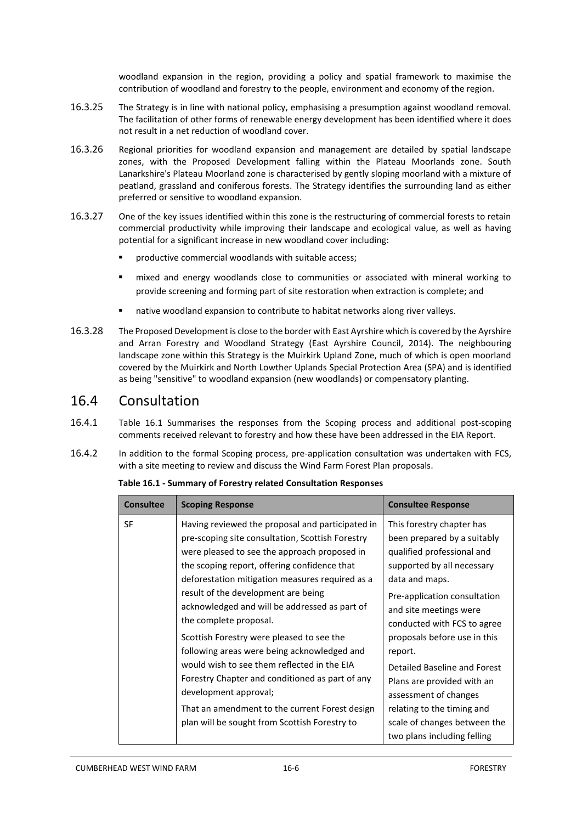woodland expansion in the region, providing a policy and spatial framework to maximise the contribution of woodland and forestry to the people, environment and economy of the region.

- 16.3.25 The Strategy is in line with national policy, emphasising a presumption against woodland removal. The facilitation of other forms of renewable energy development has been identified where it does not result in a net reduction of woodland cover.
- 16.3.26 Regional priorities for woodland expansion and management are detailed by spatial landscape zones, with the Proposed Development falling within the Plateau Moorlands zone. South Lanarkshire's Plateau Moorland zone is characterised by gently sloping moorland with a mixture of peatland, grassland and coniferous forests. The Strategy identifies the surrounding land as either preferred or sensitive to woodland expansion.
- 16.3.27 One of the key issues identified within this zone is the restructuring of commercial forests to retain commercial productivity while improving their landscape and ecological value, as well as having potential for a significant increase in new woodland cover including:
	- productive commercial woodlands with suitable access:
	- mixed and energy woodlands close to communities or associated with mineral working to provide screening and forming part of site restoration when extraction is complete; and
	- native woodland expansion to contribute to habitat networks along river valleys.
- 16.3.28 The Proposed Development is close to the border with East Ayrshire which is covered by the Ayrshire and Arran Forestry and Woodland Strategy (East Ayrshire Council, 2014). The neighbouring landscape zone within this Strategy is the Muirkirk Upland Zone, much of which is open moorland covered by the Muirkirk and North Lowther Uplands Special Protection Area (SPA) and is identified as being "sensitive" to woodland expansion (new woodlands) or compensatory planting.

### <span id="page-7-0"></span>16.4 Consultation

- 16.4.1 Table 16.1 Summarises the responses from the Scoping process and additional post-scoping comments received relevant to forestry and how these have been addressed in the EIA Report.
- 16.4.2 In addition to the formal Scoping process, pre-application consultation was undertaken with FCS, with a site meeting to review and discuss the Wind Farm Forest Plan proposals.

| <b>Consultee</b> | <b>Scoping Response</b>                                                                                                                                                                                                                                                                                                                                                   | <b>Consultee Response</b>                                                                                                                                                                                                       |
|------------------|---------------------------------------------------------------------------------------------------------------------------------------------------------------------------------------------------------------------------------------------------------------------------------------------------------------------------------------------------------------------------|---------------------------------------------------------------------------------------------------------------------------------------------------------------------------------------------------------------------------------|
| <b>SF</b>        | Having reviewed the proposal and participated in<br>pre-scoping site consultation, Scottish Forestry<br>were pleased to see the approach proposed in<br>the scoping report, offering confidence that<br>deforestation mitigation measures required as a<br>result of the development are being<br>acknowledged and will be addressed as part of<br>the complete proposal. | This forestry chapter has<br>been prepared by a suitably<br>qualified professional and<br>supported by all necessary<br>data and maps.<br>Pre-application consultation<br>and site meetings were<br>conducted with FCS to agree |
|                  | Scottish Forestry were pleased to see the<br>following areas were being acknowledged and<br>would wish to see them reflected in the EIA<br>Forestry Chapter and conditioned as part of any<br>development approval;<br>That an amendment to the current Forest design<br>plan will be sought from Scottish Forestry to                                                    | proposals before use in this<br>report.<br>Detailed Baseline and Forest<br>Plans are provided with an<br>assessment of changes<br>relating to the timing and<br>scale of changes between the<br>two plans including felling     |

**Table 16.1 - Summary of Forestry related Consultation Responses**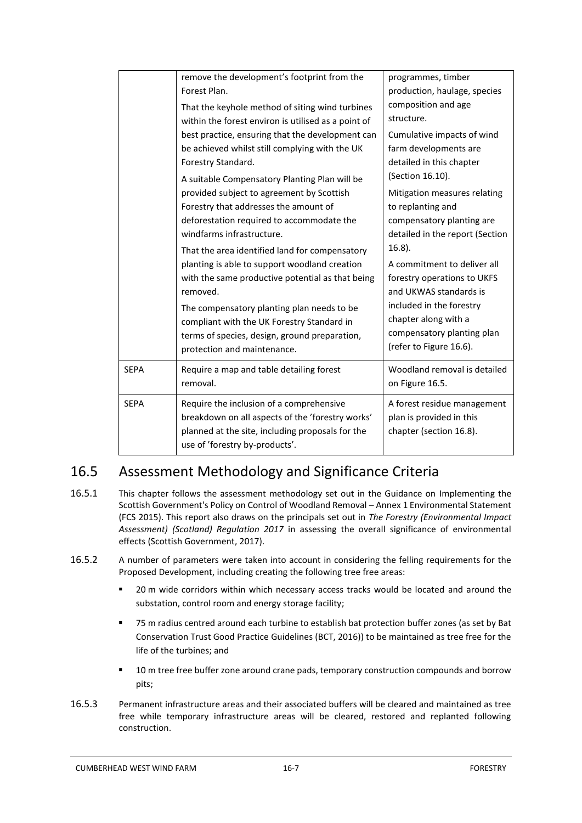|             | remove the development's footprint from the<br>Forest Plan.<br>That the keyhole method of siting wind turbines<br>within the forest environ is utilised as a point of<br>best practice, ensuring that the development can<br>be achieved whilst still complying with the UK<br>Forestry Standard.<br>A suitable Compensatory Planting Plan will be<br>provided subject to agreement by Scottish<br>Forestry that addresses the amount of<br>deforestation required to accommodate the<br>windfarms infrastructure.<br>That the area identified land for compensatory<br>planting is able to support woodland creation<br>with the same productive potential as that being<br>removed.<br>The compensatory planting plan needs to be<br>compliant with the UK Forestry Standard in<br>terms of species, design, ground preparation, | programmes, timber<br>production, haulage, species<br>composition and age<br>structure.<br>Cumulative impacts of wind<br>farm developments are<br>detailed in this chapter<br>(Section 16.10).<br>Mitigation measures relating<br>to replanting and<br>compensatory planting are<br>detailed in the report (Section<br>$16.8$ ).<br>A commitment to deliver all<br>forestry operations to UKFS<br>and UKWAS standards is<br>included in the forestry<br>chapter along with a<br>compensatory planting plan<br>(refer to Figure 16.6). |
|-------------|------------------------------------------------------------------------------------------------------------------------------------------------------------------------------------------------------------------------------------------------------------------------------------------------------------------------------------------------------------------------------------------------------------------------------------------------------------------------------------------------------------------------------------------------------------------------------------------------------------------------------------------------------------------------------------------------------------------------------------------------------------------------------------------------------------------------------------|---------------------------------------------------------------------------------------------------------------------------------------------------------------------------------------------------------------------------------------------------------------------------------------------------------------------------------------------------------------------------------------------------------------------------------------------------------------------------------------------------------------------------------------|
|             | protection and maintenance.                                                                                                                                                                                                                                                                                                                                                                                                                                                                                                                                                                                                                                                                                                                                                                                                        |                                                                                                                                                                                                                                                                                                                                                                                                                                                                                                                                       |
| <b>SEPA</b> | Require a map and table detailing forest<br>removal.                                                                                                                                                                                                                                                                                                                                                                                                                                                                                                                                                                                                                                                                                                                                                                               | Woodland removal is detailed<br>on Figure 16.5.                                                                                                                                                                                                                                                                                                                                                                                                                                                                                       |
| <b>SEPA</b> | Require the inclusion of a comprehensive<br>breakdown on all aspects of the 'forestry works'<br>planned at the site, including proposals for the<br>use of 'forestry by-products'.                                                                                                                                                                                                                                                                                                                                                                                                                                                                                                                                                                                                                                                 | A forest residue management<br>plan is provided in this<br>chapter (section 16.8).                                                                                                                                                                                                                                                                                                                                                                                                                                                    |

# <span id="page-8-0"></span>16.5 Assessment Methodology and Significance Criteria

- 16.5.1 This chapter follows the assessment methodology set out in the Guidance on Implementing the Scottish Government's Policy on Control of Woodland Removal – Annex 1 Environmental Statement (FCS 2015). This report also draws on the principals set out in *The Forestry (Environmental Impact Assessment) (Scotland) Regulation 2017* in assessing the overall significance of environmental effects (Scottish Government, 2017).
- 16.5.2 A number of parameters were taken into account in considering the felling requirements for the Proposed Development, including creating the following tree free areas:
	- 20 m wide corridors within which necessary access tracks would be located and around the substation, control room and energy storage facility;
	- 75 m radius centred around each turbine to establish bat protection buffer zones (as set by Bat Conservation Trust Good Practice Guidelines (BCT, 2016)) to be maintained as tree free for the life of the turbines; and
	- 10 m tree free buffer zone around crane pads, temporary construction compounds and borrow pits;
- 16.5.3 Permanent infrastructure areas and their associated buffers will be cleared and maintained as tree free while temporary infrastructure areas will be cleared, restored and replanted following construction.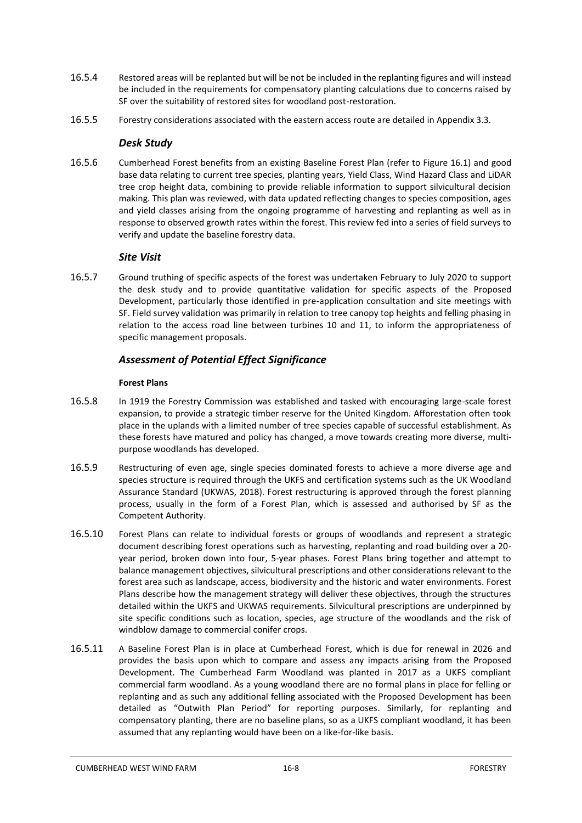- 16.5.4 Restored areas will be replanted but will be not be included in the replanting figures and will instead be included in the requirements for compensatory planting calculations due to concerns raised by SF over the suitability of restored sites for woodland post-restoration.
- 16.5.5 Forestry considerations associated with the eastern access route are detailed in Appendix 3.3.

#### *Desk Study*

16.5.6 Cumberhead Forest benefits from an existing Baseline Forest Plan (refer to Figure 16.1) and good base data relating to current tree species, planting years, Yield Class, Wind Hazard Class and LiDAR tree crop height data, combining to provide reliable information to support silvicultural decision making. This plan was reviewed, with data updated reflecting changes to species composition, ages and yield classes arising from the ongoing programme of harvesting and replanting as well as in response to observed growth rates within the forest. This review fed into a series of field surveys to verify and update the baseline forestry data.

#### *Site Visit*

16.5.7 Ground truthing of specific aspects of the forest was undertaken February to July 2020 to support the desk study and to provide quantitative validation for specific aspects of the Proposed Development, particularly those identified in pre-application consultation and site meetings with SF. Field survey validation was primarily in relation to tree canopy top heights and felling phasing in relation to the access road line between turbines 10 and 11, to inform the appropriateness of specific management proposals.

#### *Assessment of Potential Effect Significance*

#### **Forest Plans**

- 16.5.8 In 1919 the Forestry Commission was established and tasked with encouraging large-scale forest expansion, to provide a strategic timber reserve for the United Kingdom. Afforestation often took place in the uplands with a limited number of tree species capable of successful establishment. As these forests have matured and policy has changed, a move towards creating more diverse, multipurpose woodlands has developed.
- 16.5.9 Restructuring of even age, single species dominated forests to achieve a more diverse age and species structure is required through the UKFS and certification systems such as the UK Woodland Assurance Standard (UKWAS, 2018). Forest restructuring is approved through the forest planning process, usually in the form of a Forest Plan, which is assessed and authorised by SF as the Competent Authority.
- 16.5.10 Forest Plans can relate to individual forests or groups of woodlands and represent a strategic document describing forest operations such as harvesting, replanting and road building over a 20 year period, broken down into four, 5-year phases. Forest Plans bring together and attempt to balance management objectives, silvicultural prescriptions and other considerations relevant to the forest area such as landscape, access, biodiversity and the historic and water environments. Forest Plans describe how the management strategy will deliver these objectives, through the structures detailed within the UKFS and UKWAS requirements. Silvicultural prescriptions are underpinned by site specific conditions such as location, species, age structure of the woodlands and the risk of windblow damage to commercial conifer crops.
- 16.5.11 A Baseline Forest Plan is in place at Cumberhead Forest, which is due for renewal in 2026 and provides the basis upon which to compare and assess any impacts arising from the Proposed Development. The Cumberhead Farm Woodland was planted in 2017 as a UKFS compliant commercial farm woodland. As a young woodland there are no formal plans in place for felling or replanting and as such any additional felling associated with the Proposed Development has been detailed as "Outwith Plan Period" for reporting purposes. Similarly, for replanting and compensatory planting, there are no baseline plans, so as a UKFS compliant woodland, it has been assumed that any replanting would have been on a like-for-like basis.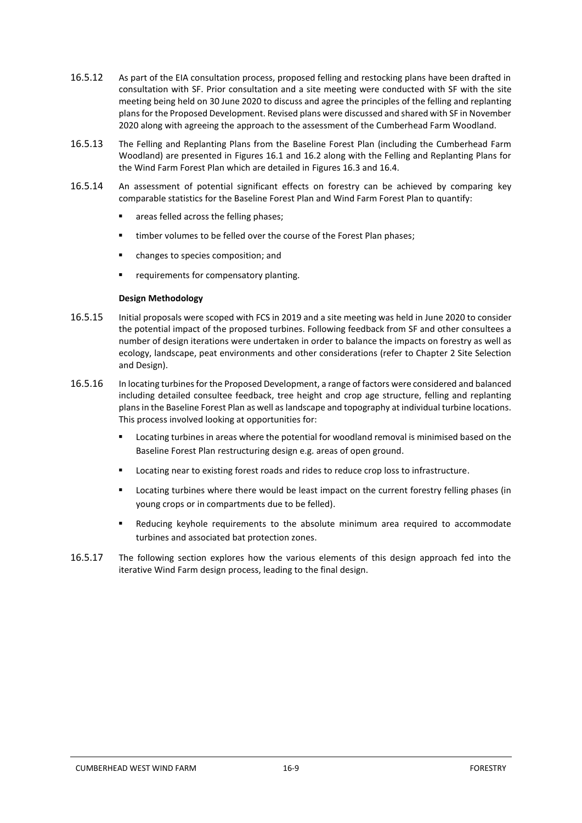- 16.5.12 As part of the EIA consultation process, proposed felling and restocking plans have been drafted in consultation with SF. Prior consultation and a site meeting were conducted with SF with the site meeting being held on 30 June 2020 to discuss and agree the principles of the felling and replanting plans for the Proposed Development. Revised plans were discussed and shared with SF in November 2020 along with agreeing the approach to the assessment of the Cumberhead Farm Woodland.
- 16.5.13 The Felling and Replanting Plans from the Baseline Forest Plan (including the Cumberhead Farm Woodland) are presented in Figures 16.1 and 16.2 along with the Felling and Replanting Plans for the Wind Farm Forest Plan which are detailed in Figures 16.3 and 16.4.
- 16.5.14 An assessment of potential significant effects on forestry can be achieved by comparing key comparable statistics for the Baseline Forest Plan and Wind Farm Forest Plan to quantify:
	- areas felled across the felling phases;
	- timber volumes to be felled over the course of the Forest Plan phases;
	- changes to species composition; and
	- requirements for compensatory planting.

#### **Design Methodology**

- 16.5.15 Initial proposals were scoped with FCS in 2019 and a site meeting was held in June 2020 to consider the potential impact of the proposed turbines. Following feedback from SF and other consultees a number of design iterations were undertaken in order to balance the impacts on forestry as well as ecology, landscape, peat environments and other considerations (refer to Chapter 2 Site Selection and Design).
- 16.5.16 In locating turbines for the Proposed Development, a range of factors were considered and balanced including detailed consultee feedback, tree height and crop age structure, felling and replanting plans in the Baseline Forest Plan as well as landscape and topography at individual turbine locations. This process involved looking at opportunities for:
	- Locating turbines in areas where the potential for woodland removal is minimised based on the Baseline Forest Plan restructuring design e.g. areas of open ground.
	- Locating near to existing forest roads and rides to reduce crop loss to infrastructure.
	- **•** Locating turbines where there would be least impact on the current forestry felling phases (in young crops or in compartments due to be felled).
	- Reducing keyhole requirements to the absolute minimum area required to accommodate turbines and associated bat protection zones.
- 16.5.17 The following section explores how the various elements of this design approach fed into the iterative Wind Farm design process, leading to the final design.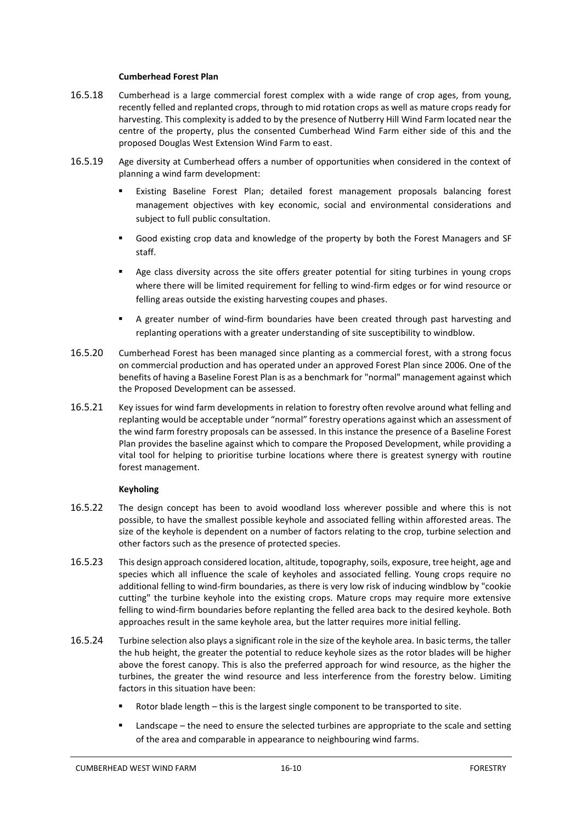#### **Cumberhead Forest Plan**

- 16.5.18 Cumberhead is a large commercial forest complex with a wide range of crop ages, from young, recently felled and replanted crops, through to mid rotation crops as well as mature crops ready for harvesting. This complexity is added to by the presence of Nutberry Hill Wind Farm located near the centre of the property, plus the consented Cumberhead Wind Farm either side of this and the proposed Douglas West Extension Wind Farm to east.
- 16.5.19 Age diversity at Cumberhead offers a number of opportunities when considered in the context of planning a wind farm development:
	- Existing Baseline Forest Plan; detailed forest management proposals balancing forest management objectives with key economic, social and environmental considerations and subject to full public consultation.
	- Good existing crop data and knowledge of the property by both the Forest Managers and SF staff.
	- Age class diversity across the site offers greater potential for siting turbines in young crops where there will be limited requirement for felling to wind-firm edges or for wind resource or felling areas outside the existing harvesting coupes and phases.
	- A greater number of wind-firm boundaries have been created through past harvesting and replanting operations with a greater understanding of site susceptibility to windblow.
- 16.5.20 Cumberhead Forest has been managed since planting as a commercial forest, with a strong focus on commercial production and has operated under an approved Forest Plan since 2006. One of the benefits of having a Baseline Forest Plan is as a benchmark for "normal" management against which the Proposed Development can be assessed.
- 16.5.21 Key issues for wind farm developments in relation to forestry often revolve around what felling and replanting would be acceptable under "normal" forestry operations against which an assessment of the wind farm forestry proposals can be assessed. In this instance the presence of a Baseline Forest Plan provides the baseline against which to compare the Proposed Development, while providing a vital tool for helping to prioritise turbine locations where there is greatest synergy with routine forest management.

#### **Keyholing**

- 16.5.22 The design concept has been to avoid woodland loss wherever possible and where this is not possible, to have the smallest possible keyhole and associated felling within afforested areas. The size of the keyhole is dependent on a number of factors relating to the crop, turbine selection and other factors such as the presence of protected species.
- 16.5.23 This design approach considered location, altitude, topography, soils, exposure, tree height, age and species which all influence the scale of keyholes and associated felling. Young crops require no additional felling to wind-firm boundaries, as there is very low risk of inducing windblow by "cookie cutting" the turbine keyhole into the existing crops. Mature crops may require more extensive felling to wind-firm boundaries before replanting the felled area back to the desired keyhole. Both approaches result in the same keyhole area, but the latter requires more initial felling.
- 16.5.24 Turbine selection also plays a significant role in the size of the keyhole area. In basic terms, the taller the hub height, the greater the potential to reduce keyhole sizes as the rotor blades will be higher above the forest canopy. This is also the preferred approach for wind resource, as the higher the turbines, the greater the wind resource and less interference from the forestry below. Limiting factors in this situation have been:
	- Rotor blade length this is the largest single component to be transported to site.
	- Landscape the need to ensure the selected turbines are appropriate to the scale and setting of the area and comparable in appearance to neighbouring wind farms.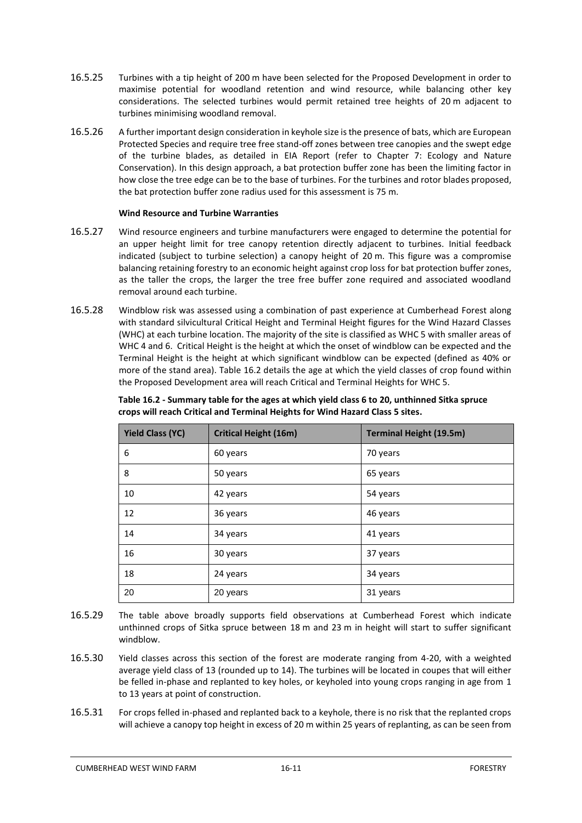- 16.5.25 Turbines with a tip height of 200 m have been selected for the Proposed Development in order to maximise potential for woodland retention and wind resource, while balancing other key considerations. The selected turbines would permit retained tree heights of 20 m adjacent to turbines minimising woodland removal.
- 16.5.26 A further important design consideration in keyhole size is the presence of bats, which are European Protected Species and require tree free stand-off zones between tree canopies and the swept edge of the turbine blades, as detailed in EIA Report (refer to Chapter 7: Ecology and Nature Conservation). In this design approach, a bat protection buffer zone has been the limiting factor in how close the tree edge can be to the base of turbines. For the turbines and rotor blades proposed, the bat protection buffer zone radius used for this assessment is 75 m.

#### **Wind Resource and Turbine Warranties**

- 16.5.27 Wind resource engineers and turbine manufacturers were engaged to determine the potential for an upper height limit for tree canopy retention directly adjacent to turbines. Initial feedback indicated (subject to turbine selection) a canopy height of 20 m. This figure was a compromise balancing retaining forestry to an economic height against crop loss for bat protection buffer zones, as the taller the crops, the larger the tree free buffer zone required and associated woodland removal around each turbine.
- 16.5.28 Windblow risk was assessed using a combination of past experience at Cumberhead Forest along with standard silvicultural Critical Height and Terminal Height figures for the Wind Hazard Classes (WHC) at each turbine location. The majority of the site is classified as WHC 5 with smaller areas of WHC 4 and 6. Critical Height is the height at which the onset of windblow can be expected and the Terminal Height is the height at which significant windblow can be expected (defined as 40% or more of the stand area). Table 16.2 details the age at which the yield classes of crop found within the Proposed Development area will reach Critical and Terminal Heights for WHC 5.

| <b>Yield Class (YC)</b> | <b>Critical Height (16m)</b> | <b>Terminal Height (19.5m)</b> |
|-------------------------|------------------------------|--------------------------------|
| 6                       | 60 years                     | 70 years                       |
| 8                       | 50 years                     | 65 years                       |
| 10                      | 42 years                     | 54 years                       |
| 12                      | 36 years                     | 46 years                       |
| 14                      | 34 years                     | 41 years                       |
| 16                      | 30 years                     | 37 years                       |
| 18                      | 24 years                     | 34 years                       |
| 20                      | 20 years                     | 31 years                       |

**Table 16.2 - Summary table for the ages at which yield class 6 to 20, unthinned Sitka spruce crops will reach Critical and Terminal Heights for Wind Hazard Class 5 sites.**

- 16.5.29 The table above broadly supports field observations at Cumberhead Forest which indicate unthinned crops of Sitka spruce between 18 m and 23 m in height will start to suffer significant windblow.
- 16.5.30 Yield classes across this section of the forest are moderate ranging from 4-20, with a weighted average yield class of 13 (rounded up to 14). The turbines will be located in coupes that will either be felled in-phase and replanted to key holes, or keyholed into young crops ranging in age from 1 to 13 years at point of construction.
- 16.5.31 For crops felled in-phased and replanted back to a keyhole, there is no risk that the replanted crops will achieve a canopy top height in excess of 20 m within 25 years of replanting, as can be seen from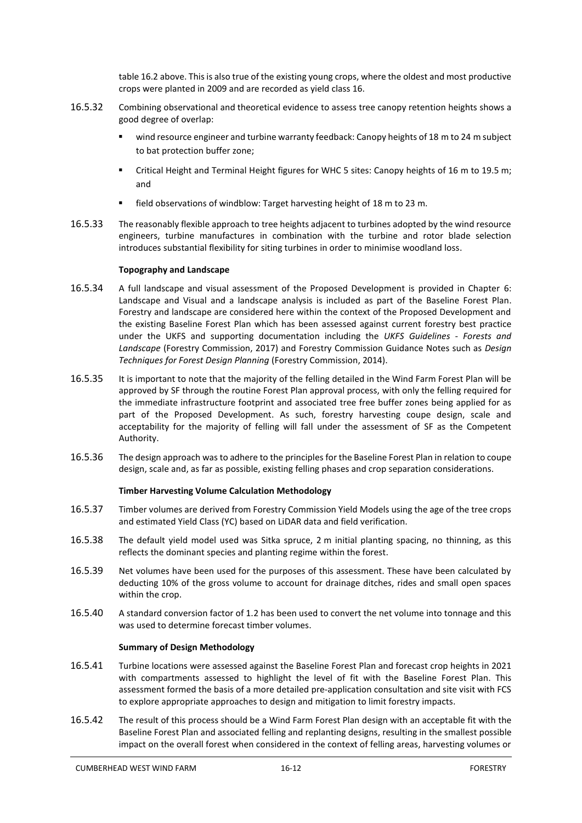table 16.2 above. This is also true of the existing young crops, where the oldest and most productive crops were planted in 2009 and are recorded as yield class 16.

- 16.5.32 Combining observational and theoretical evidence to assess tree canopy retention heights shows a good degree of overlap:
	- wind resource engineer and turbine warranty feedback: Canopy heights of 18 m to 24 m subject to bat protection buffer zone;
	- Critical Height and Terminal Height figures for WHC 5 sites: Canopy heights of 16 m to 19.5 m; and
	- field observations of windblow: Target harvesting height of 18 m to 23 m.
- 16.5.33 The reasonably flexible approach to tree heights adjacent to turbines adopted by the wind resource engineers, turbine manufactures in combination with the turbine and rotor blade selection introduces substantial flexibility for siting turbines in order to minimise woodland loss.

#### **Topography and Landscape**

- 16.5.34 A full landscape and visual assessment of the Proposed Development is provided in Chapter 6: Landscape and Visual and a landscape analysis is included as part of the Baseline Forest Plan. Forestry and landscape are considered here within the context of the Proposed Development and the existing Baseline Forest Plan which has been assessed against current forestry best practice under the UKFS and supporting documentation including the *UKFS Guidelines - Forests and Landscape* (Forestry Commission, 2017) and Forestry Commission Guidance Notes such as *Design Techniques for Forest Design Planning* (Forestry Commission, 2014).
- 16.5.35 It is important to note that the majority of the felling detailed in the Wind Farm Forest Plan will be approved by SF through the routine Forest Plan approval process, with only the felling required for the immediate infrastructure footprint and associated tree free buffer zones being applied for as part of the Proposed Development. As such, forestry harvesting coupe design, scale and acceptability for the majority of felling will fall under the assessment of SF as the Competent Authority.
- 16.5.36 The design approach was to adhere to the principles for the Baseline Forest Plan in relation to coupe design, scale and, as far as possible, existing felling phases and crop separation considerations.

#### **Timber Harvesting Volume Calculation Methodology**

- 16.5.37 Timber volumes are derived from Forestry Commission Yield Models using the age of the tree crops and estimated Yield Class (YC) based on LiDAR data and field verification.
- 16.5.38 The default yield model used was Sitka spruce, 2 m initial planting spacing, no thinning, as this reflects the dominant species and planting regime within the forest.
- 16.5.39 Net volumes have been used for the purposes of this assessment. These have been calculated by deducting 10% of the gross volume to account for drainage ditches, rides and small open spaces within the crop.
- 16.5.40 A standard conversion factor of 1.2 has been used to convert the net volume into tonnage and this was used to determine forecast timber volumes.

#### **Summary of Design Methodology**

- 16.5.41 Turbine locations were assessed against the Baseline Forest Plan and forecast crop heights in 2021 with compartments assessed to highlight the level of fit with the Baseline Forest Plan. This assessment formed the basis of a more detailed pre-application consultation and site visit with FCS to explore appropriate approaches to design and mitigation to limit forestry impacts.
- 16.5.42 The result of this process should be a Wind Farm Forest Plan design with an acceptable fit with the Baseline Forest Plan and associated felling and replanting designs, resulting in the smallest possible impact on the overall forest when considered in the context of felling areas, harvesting volumes or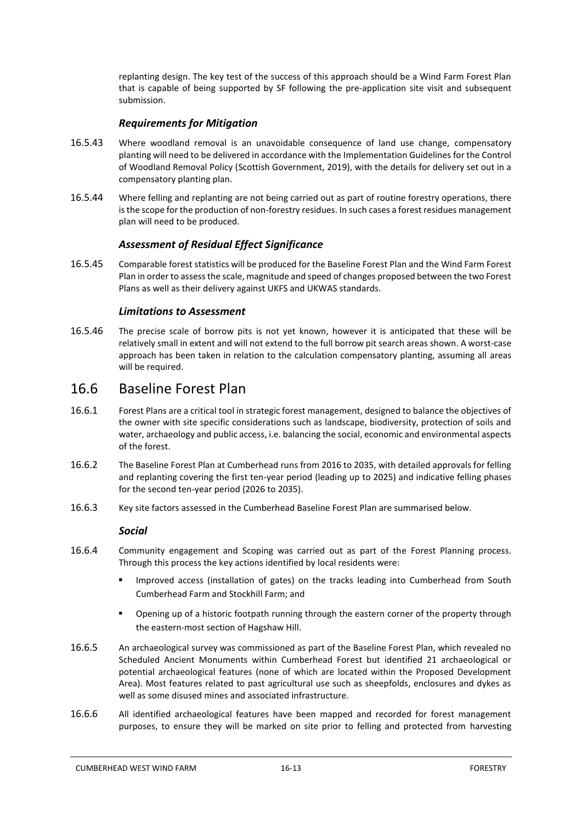replanting design. The key test of the success of this approach should be a Wind Farm Forest Plan that is capable of being supported by SF following the pre-application site visit and subsequent submission.

#### *Requirements for Mitigation*

- 16.5.43 Where woodland removal is an unavoidable consequence of land use change, compensatory planting will need to be delivered in accordance with the Implementation Guidelines for the Control of Woodland Removal Policy (Scottish Government, 2019), with the details for delivery set out in a compensatory planting plan.
- 16.5.44 Where felling and replanting are not being carried out as part of routine forestry operations, there is the scope for the production of non-forestry residues. In such cases a forest residues management plan will need to be produced.

#### *Assessment of Residual Effect Significance*

16.5.45 Comparable forest statistics will be produced for the Baseline Forest Plan and the Wind Farm Forest Plan in order to assess the scale, magnitude and speed of changes proposed between the two Forest Plans as well as their delivery against UKFS and UKWAS standards.

#### *Limitations to Assessment*

16.5.46 The precise scale of borrow pits is not yet known, however it is anticipated that these will be relatively small in extent and will not extend to the full borrow pit search areas shown. A worst-case approach has been taken in relation to the calculation compensatory planting, assuming all areas will be required.

### <span id="page-14-0"></span>16.6 Baseline Forest Plan

- 16.6.1 Forest Plans are a critical tool in strategic forest management, designed to balance the objectives of the owner with site specific considerations such as landscape, biodiversity, protection of soils and water, archaeology and public access, i.e. balancing the social, economic and environmental aspects of the forest.
- 16.6.2 The Baseline Forest Plan at Cumberhead runs from 2016 to 2035, with detailed approvals for felling and replanting covering the first ten-year period (leading up to 2025) and indicative felling phases for the second ten-year period (2026 to 2035).
- 16.6.3 Key site factors assessed in the Cumberhead Baseline Forest Plan are summarised below.

#### *Social*

- 16.6.4 Community engagement and Scoping was carried out as part of the Forest Planning process. Through this process the key actions identified by local residents were:
	- Improved access (installation of gates) on the tracks leading into Cumberhead from South Cumberhead Farm and Stockhill Farm; and
	- **•** Opening up of a historic footpath running through the eastern corner of the property through the eastern-most section of Hagshaw Hill.
- 16.6.5 An archaeological survey was commissioned as part of the Baseline Forest Plan, which revealed no Scheduled Ancient Monuments within Cumberhead Forest but identified 21 archaeological or potential archaeological features (none of which are located within the Proposed Development Area). Most features related to past agricultural use such as sheepfolds, enclosures and dykes as well as some disused mines and associated infrastructure.
- 16.6.6 All identified archaeological features have been mapped and recorded for forest management purposes, to ensure they will be marked on site prior to felling and protected from harvesting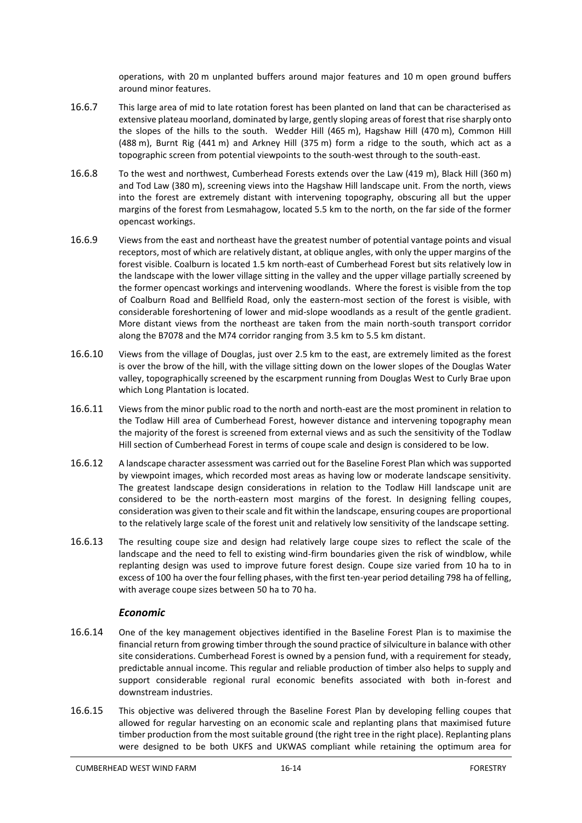operations, with 20 m unplanted buffers around major features and 10 m open ground buffers around minor features.

- 16.6.7 This large area of mid to late rotation forest has been planted on land that can be characterised as extensive plateau moorland, dominated by large, gently sloping areas of forest that rise sharply onto the slopes of the hills to the south. Wedder Hill (465 m), Hagshaw Hill (470 m), Common Hill (488 m), Burnt Rig (441 m) and Arkney Hill (375 m) form a ridge to the south, which act as a topographic screen from potential viewpoints to the south-west through to the south-east.
- 16.6.8 To the west and northwest, Cumberhead Forests extends over the Law (419 m), Black Hill (360 m) and Tod Law (380 m), screening views into the Hagshaw Hill landscape unit. From the north, views into the forest are extremely distant with intervening topography, obscuring all but the upper margins of the forest from Lesmahagow, located 5.5 km to the north, on the far side of the former opencast workings.
- 16.6.9 Views from the east and northeast have the greatest number of potential vantage points and visual receptors, most of which are relatively distant, at oblique angles, with only the upper margins of the forest visible. Coalburn is located 1.5 km north-east of Cumberhead Forest but sits relatively low in the landscape with the lower village sitting in the valley and the upper village partially screened by the former opencast workings and intervening woodlands. Where the forest is visible from the top of Coalburn Road and Bellfield Road, only the eastern-most section of the forest is visible, with considerable foreshortening of lower and mid-slope woodlands as a result of the gentle gradient. More distant views from the northeast are taken from the main north-south transport corridor along the B7078 and the M74 corridor ranging from 3.5 km to 5.5 km distant.
- 16.6.10 Views from the village of Douglas, just over 2.5 km to the east, are extremely limited as the forest is over the brow of the hill, with the village sitting down on the lower slopes of the Douglas Water valley, topographically screened by the escarpment running from Douglas West to Curly Brae upon which Long Plantation is located.
- 16.6.11 Views from the minor public road to the north and north-east are the most prominent in relation to the Todlaw Hill area of Cumberhead Forest, however distance and intervening topography mean the majority of the forest is screened from external views and as such the sensitivity of the Todlaw Hill section of Cumberhead Forest in terms of coupe scale and design is considered to be low.
- 16.6.12 A landscape character assessment was carried out for the Baseline Forest Plan which was supported by viewpoint images, which recorded most areas as having low or moderate landscape sensitivity. The greatest landscape design considerations in relation to the Todlaw Hill landscape unit are considered to be the north-eastern most margins of the forest. In designing felling coupes, consideration was given to their scale and fit within the landscape, ensuring coupes are proportional to the relatively large scale of the forest unit and relatively low sensitivity of the landscape setting.
- 16.6.13 The resulting coupe size and design had relatively large coupe sizes to reflect the scale of the landscape and the need to fell to existing wind-firm boundaries given the risk of windblow, while replanting design was used to improve future forest design. Coupe size varied from 10 ha to in excess of 100 ha over the four felling phases, with the first ten-year period detailing 798 ha of felling, with average coupe sizes between 50 ha to 70 ha.

#### *Economic*

- 16.6.14 One of the key management objectives identified in the Baseline Forest Plan is to maximise the financial return from growing timber through the sound practice of silviculture in balance with other site considerations. Cumberhead Forest is owned by a pension fund, with a requirement for steady, predictable annual income. This regular and reliable production of timber also helps to supply and support considerable regional rural economic benefits associated with both in-forest and downstream industries.
- 16.6.15 This objective was delivered through the Baseline Forest Plan by developing felling coupes that allowed for regular harvesting on an economic scale and replanting plans that maximised future timber production from the most suitable ground (the right tree in the right place). Replanting plans were designed to be both UKFS and UKWAS compliant while retaining the optimum area for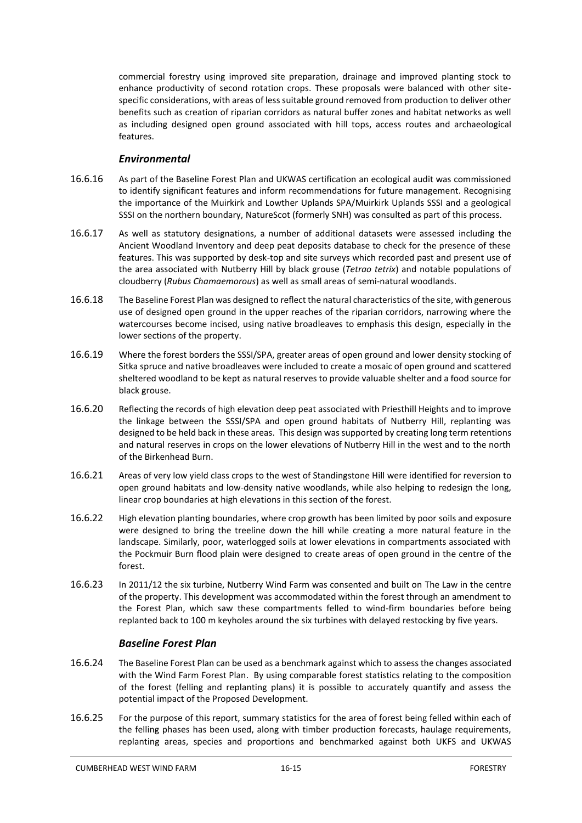commercial forestry using improved site preparation, drainage and improved planting stock to enhance productivity of second rotation crops. These proposals were balanced with other sitespecific considerations, with areas of less suitable ground removed from production to deliver other benefits such as creation of riparian corridors as natural buffer zones and habitat networks as well as including designed open ground associated with hill tops, access routes and archaeological features.

#### *Environmental*

- 16.6.16 As part of the Baseline Forest Plan and UKWAS certification an ecological audit was commissioned to identify significant features and inform recommendations for future management. Recognising the importance of the Muirkirk and Lowther Uplands SPA/Muirkirk Uplands SSSI and a geological SSSI on the northern boundary, NatureScot (formerly SNH) was consulted as part of this process.
- 16.6.17 As well as statutory designations, a number of additional datasets were assessed including the Ancient Woodland Inventory and deep peat deposits database to check for the presence of these features. This was supported by desk-top and site surveys which recorded past and present use of the area associated with Nutberry Hill by black grouse (*Tetrao tetrix*) and notable populations of cloudberry (*Rubus Chamaemorous*) as well as small areas of semi-natural woodlands.
- 16.6.18 The Baseline Forest Plan was designed to reflect the natural characteristics of the site, with generous use of designed open ground in the upper reaches of the riparian corridors, narrowing where the watercourses become incised, using native broadleaves to emphasis this design, especially in the lower sections of the property.
- 16.6.19 Where the forest borders the SSSI/SPA, greater areas of open ground and lower density stocking of Sitka spruce and native broadleaves were included to create a mosaic of open ground and scattered sheltered woodland to be kept as natural reserves to provide valuable shelter and a food source for black grouse.
- 16.6.20 Reflecting the records of high elevation deep peat associated with Priesthill Heights and to improve the linkage between the SSSI/SPA and open ground habitats of Nutberry Hill, replanting was designed to be held back in these areas. This design was supported by creating long term retentions and natural reserves in crops on the lower elevations of Nutberry Hill in the west and to the north of the Birkenhead Burn.
- 16.6.21 Areas of very low yield class crops to the west of Standingstone Hill were identified for reversion to open ground habitats and low-density native woodlands, while also helping to redesign the long, linear crop boundaries at high elevations in this section of the forest.
- 16.6.22 High elevation planting boundaries, where crop growth has been limited by poor soils and exposure were designed to bring the treeline down the hill while creating a more natural feature in the landscape. Similarly, poor, waterlogged soils at lower elevations in compartments associated with the Pockmuir Burn flood plain were designed to create areas of open ground in the centre of the forest.
- 16.6.23 In 2011/12 the six turbine, Nutberry Wind Farm was consented and built on The Law in the centre of the property. This development was accommodated within the forest through an amendment to the Forest Plan, which saw these compartments felled to wind-firm boundaries before being replanted back to 100 m keyholes around the six turbines with delayed restocking by five years.

#### *Baseline Forest Plan*

- 16.6.24 The Baseline Forest Plan can be used as a benchmark against which to assess the changes associated with the Wind Farm Forest Plan. By using comparable forest statistics relating to the composition of the forest (felling and replanting plans) it is possible to accurately quantify and assess the potential impact of the Proposed Development.
- 16.6.25 For the purpose of this report, summary statistics for the area of forest being felled within each of the felling phases has been used, along with timber production forecasts, haulage requirements, replanting areas, species and proportions and benchmarked against both UKFS and UKWAS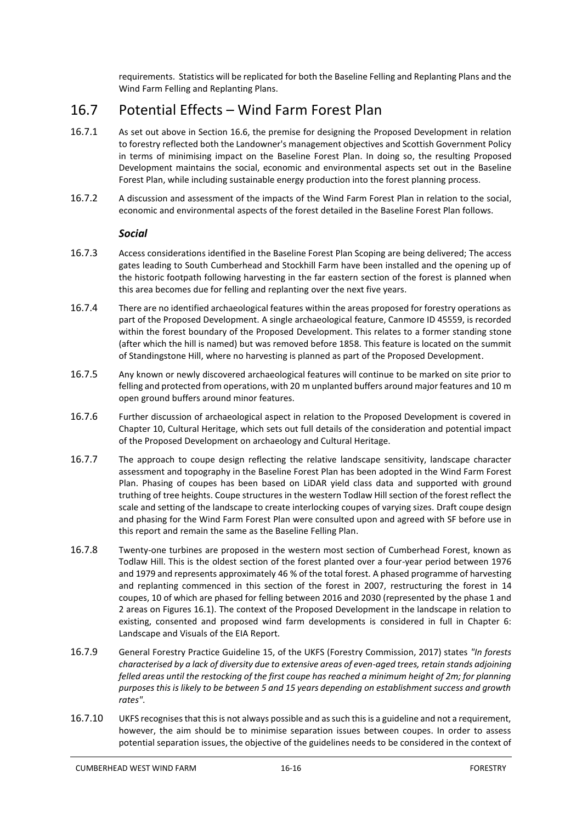requirements. Statistics will be replicated for both the Baseline Felling and Replanting Plans and the Wind Farm Felling and Replanting Plans.

# <span id="page-17-0"></span>16.7 Potential Effects – Wind Farm Forest Plan

- 16.7.1 As set out above in Section 16.6, the premise for designing the Proposed Development in relation to forestry reflected both the Landowner's management objectives and Scottish Government Policy in terms of minimising impact on the Baseline Forest Plan. In doing so, the resulting Proposed Development maintains the social, economic and environmental aspects set out in the Baseline Forest Plan, while including sustainable energy production into the forest planning process.
- 16.7.2 A discussion and assessment of the impacts of the Wind Farm Forest Plan in relation to the social, economic and environmental aspects of the forest detailed in the Baseline Forest Plan follows.

#### *Social*

- 16.7.3 Access considerations identified in the Baseline Forest Plan Scoping are being delivered; The access gates leading to South Cumberhead and Stockhill Farm have been installed and the opening up of the historic footpath following harvesting in the far eastern section of the forest is planned when this area becomes due for felling and replanting over the next five years.
- 16.7.4 There are no identified archaeological features within the areas proposed for forestry operations as part of the Proposed Development. A single archaeological feature, Canmore ID 45559, is recorded within the forest boundary of the Proposed Development. This relates to a former standing stone (after which the hill is named) but was removed before 1858. This feature is located on the summit of Standingstone Hill, where no harvesting is planned as part of the Proposed Development.
- 16.7.5 Any known or newly discovered archaeological features will continue to be marked on site prior to felling and protected from operations, with 20 m unplanted buffers around major features and 10 m open ground buffers around minor features.
- 16.7.6 Further discussion of archaeological aspect in relation to the Proposed Development is covered in Chapter 10, Cultural Heritage, which sets out full details of the consideration and potential impact of the Proposed Development on archaeology and Cultural Heritage.
- 16.7.7 The approach to coupe design reflecting the relative landscape sensitivity, landscape character assessment and topography in the Baseline Forest Plan has been adopted in the Wind Farm Forest Plan. Phasing of coupes has been based on LiDAR yield class data and supported with ground truthing of tree heights. Coupe structures in the western Todlaw Hill section of the forest reflect the scale and setting of the landscape to create interlocking coupes of varying sizes. Draft coupe design and phasing for the Wind Farm Forest Plan were consulted upon and agreed with SF before use in this report and remain the same as the Baseline Felling Plan.
- 16.7.8 Twenty-one turbines are proposed in the western most section of Cumberhead Forest, known as Todlaw Hill. This is the oldest section of the forest planted over a four-year period between 1976 and 1979 and represents approximately 46 % of the total forest. A phased programme of harvesting and replanting commenced in this section of the forest in 2007, restructuring the forest in 14 coupes, 10 of which are phased for felling between 2016 and 2030 (represented by the phase 1 and 2 areas on Figures 16.1). The context of the Proposed Development in the landscape in relation to existing, consented and proposed wind farm developments is considered in full in Chapter 6: Landscape and Visuals of the EIA Report.
- 16.7.9 General Forestry Practice Guideline 15, of the UKFS (Forestry Commission, 2017) states *"In forests characterised by a lack of diversity due to extensive areas of even-aged trees, retain stands adjoining felled areas until the restocking of the first coupe has reached a minimum height of 2m; for planning purposes this is likely to be between 5 and 15 years depending on establishment success and growth rates"*.
- 16.7.10 UKFS recognisesthat this is not always possible and as such this is a guideline and not a requirement, however, the aim should be to minimise separation issues between coupes. In order to assess potential separation issues, the objective of the guidelines needs to be considered in the context of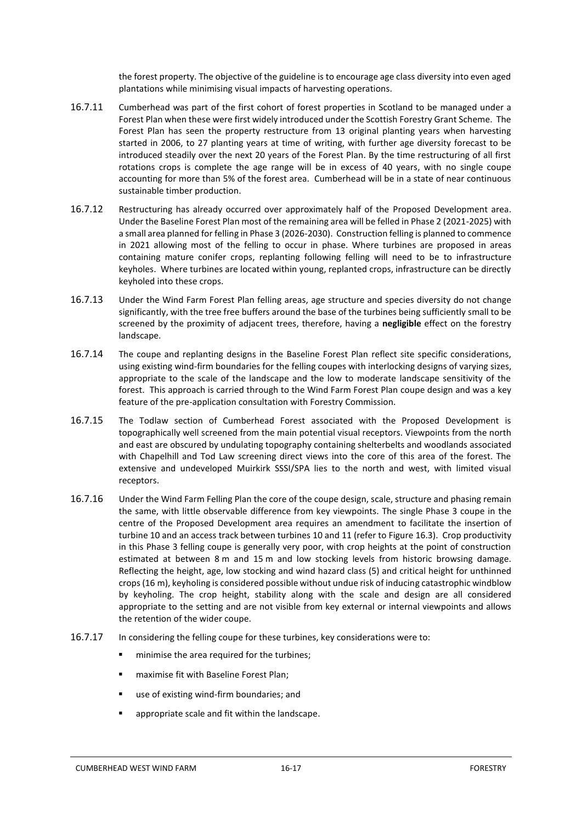the forest property. The objective of the guideline is to encourage age class diversity into even aged plantations while minimising visual impacts of harvesting operations.

- 16.7.11 Cumberhead was part of the first cohort of forest properties in Scotland to be managed under a Forest Plan when these were first widely introduced under the Scottish Forestry Grant Scheme. The Forest Plan has seen the property restructure from 13 original planting years when harvesting started in 2006, to 27 planting years at time of writing, with further age diversity forecast to be introduced steadily over the next 20 years of the Forest Plan. By the time restructuring of all first rotations crops is complete the age range will be in excess of 40 years, with no single coupe accounting for more than 5% of the forest area. Cumberhead will be in a state of near continuous sustainable timber production.
- 16.7.12 Restructuring has already occurred over approximately half of the Proposed Development area. Under the Baseline Forest Plan most of the remaining area will be felled in Phase 2 (2021-2025) with a small area planned for felling in Phase 3 (2026-2030). Construction felling is planned to commence in 2021 allowing most of the felling to occur in phase. Where turbines are proposed in areas containing mature conifer crops, replanting following felling will need to be to infrastructure keyholes. Where turbines are located within young, replanted crops, infrastructure can be directly keyholed into these crops.
- 16.7.13 Under the Wind Farm Forest Plan felling areas, age structure and species diversity do not change significantly, with the tree free buffers around the base of the turbines being sufficiently small to be screened by the proximity of adjacent trees, therefore, having a **negligible** effect on the forestry landscape.
- 16.7.14 The coupe and replanting designs in the Baseline Forest Plan reflect site specific considerations, using existing wind-firm boundaries for the felling coupes with interlocking designs of varying sizes, appropriate to the scale of the landscape and the low to moderate landscape sensitivity of the forest. This approach is carried through to the Wind Farm Forest Plan coupe design and was a key feature of the pre-application consultation with Forestry Commission.
- 16.7.15 The Todlaw section of Cumberhead Forest associated with the Proposed Development is topographically well screened from the main potential visual receptors. Viewpoints from the north and east are obscured by undulating topography containing shelterbelts and woodlands associated with Chapelhill and Tod Law screening direct views into the core of this area of the forest. The extensive and undeveloped Muirkirk SSSI/SPA lies to the north and west, with limited visual receptors.
- 16.7.16 Under the Wind Farm Felling Plan the core of the coupe design, scale, structure and phasing remain the same, with little observable difference from key viewpoints. The single Phase 3 coupe in the centre of the Proposed Development area requires an amendment to facilitate the insertion of turbine 10 and an access track between turbines 10 and 11 (refer to Figure 16.3). Crop productivity in this Phase 3 felling coupe is generally very poor, with crop heights at the point of construction estimated at between 8 m and 15 m and low stocking levels from historic browsing damage. Reflecting the height, age, low stocking and wind hazard class (5) and critical height for unthinned crops (16 m), keyholing is considered possible without undue risk of inducing catastrophic windblow by keyholing. The crop height, stability along with the scale and design are all considered appropriate to the setting and are not visible from key external or internal viewpoints and allows the retention of the wider coupe.
- 16.7.17 In considering the felling coupe for these turbines, key considerations were to:
	- minimise the area required for the turbines;
	- maximise fit with Baseline Forest Plan;
	- use of existing wind-firm boundaries; and
	- appropriate scale and fit within the landscape.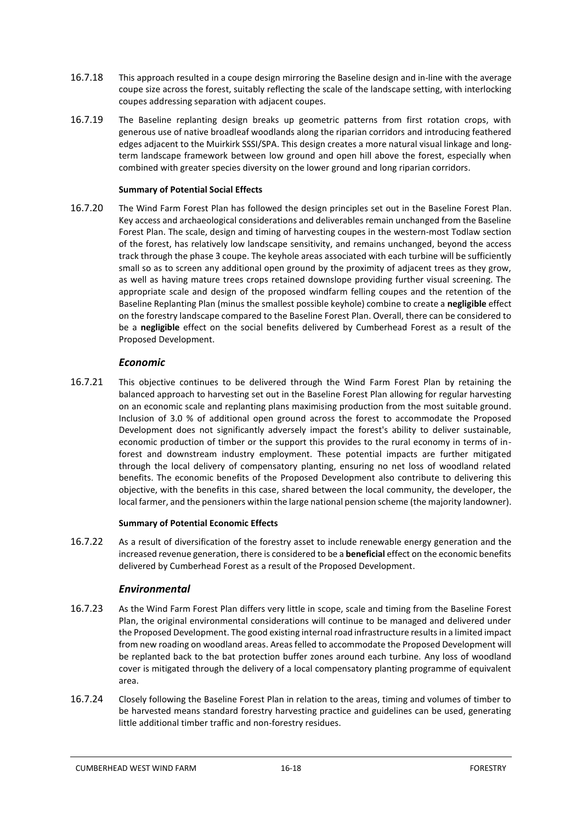- 16.7.18 This approach resulted in a coupe design mirroring the Baseline design and in-line with the average coupe size across the forest, suitably reflecting the scale of the landscape setting, with interlocking coupes addressing separation with adjacent coupes.
- 16.7.19 The Baseline replanting design breaks up geometric patterns from first rotation crops, with generous use of native broadleaf woodlands along the riparian corridors and introducing feathered edges adjacent to the Muirkirk SSSI/SPA. This design creates a more natural visual linkage and longterm landscape framework between low ground and open hill above the forest, especially when combined with greater species diversity on the lower ground and long riparian corridors.

#### **Summary of Potential Social Effects**

16.7.20 The Wind Farm Forest Plan has followed the design principles set out in the Baseline Forest Plan. Key access and archaeological considerations and deliverables remain unchanged from the Baseline Forest Plan. The scale, design and timing of harvesting coupes in the western-most Todlaw section of the forest, has relatively low landscape sensitivity, and remains unchanged, beyond the access track through the phase 3 coupe. The keyhole areas associated with each turbine will be sufficiently small so as to screen any additional open ground by the proximity of adjacent trees as they grow, as well as having mature trees crops retained downslope providing further visual screening. The appropriate scale and design of the proposed windfarm felling coupes and the retention of the Baseline Replanting Plan (minus the smallest possible keyhole) combine to create a **negligible** effect on the forestry landscape compared to the Baseline Forest Plan. Overall, there can be considered to be a **negligible** effect on the social benefits delivered by Cumberhead Forest as a result of the Proposed Development.

#### *Economic*

16.7.21 This objective continues to be delivered through the Wind Farm Forest Plan by retaining the balanced approach to harvesting set out in the Baseline Forest Plan allowing for regular harvesting on an economic scale and replanting plans maximising production from the most suitable ground. Inclusion of 3.0 % of additional open ground across the forest to accommodate the Proposed Development does not significantly adversely impact the forest's ability to deliver sustainable, economic production of timber or the support this provides to the rural economy in terms of inforest and downstream industry employment. These potential impacts are further mitigated through the local delivery of compensatory planting, ensuring no net loss of woodland related benefits. The economic benefits of the Proposed Development also contribute to delivering this objective, with the benefits in this case, shared between the local community, the developer, the local farmer, and the pensioners within the large national pension scheme (the majority landowner).

#### **Summary of Potential Economic Effects**

16.7.22 As a result of diversification of the forestry asset to include renewable energy generation and the increased revenue generation, there is considered to be a **beneficial** effect on the economic benefits delivered by Cumberhead Forest as a result of the Proposed Development.

#### *Environmental*

- 16.7.23 As the Wind Farm Forest Plan differs very little in scope, scale and timing from the Baseline Forest Plan, the original environmental considerations will continue to be managed and delivered under the Proposed Development. The good existing internal road infrastructure results in a limited impact from new roading on woodland areas. Areas felled to accommodate the Proposed Development will be replanted back to the bat protection buffer zones around each turbine. Any loss of woodland cover is mitigated through the delivery of a local compensatory planting programme of equivalent area.
- 16.7.24 Closely following the Baseline Forest Plan in relation to the areas, timing and volumes of timber to be harvested means standard forestry harvesting practice and guidelines can be used, generating little additional timber traffic and non-forestry residues.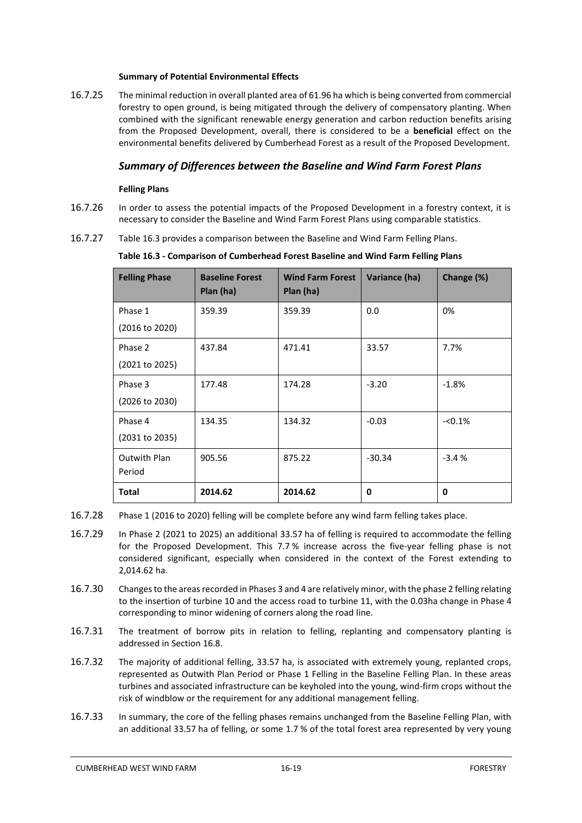#### **Summary of Potential Environmental Effects**

16.7.25 The minimal reduction in overall planted area of 61.96 ha which is being converted from commercial forestry to open ground, is being mitigated through the delivery of compensatory planting. When combined with the significant renewable energy generation and carbon reduction benefits arising from the Proposed Development, overall, there is considered to be a **beneficial** effect on the environmental benefits delivered by Cumberhead Forest as a result of the Proposed Development.

#### *Summary of Differences between the Baseline and Wind Farm Forest Plans*

#### **Felling Plans**

- 16.7.26 In order to assess the potential impacts of the Proposed Development in a forestry context, it is necessary to consider the Baseline and Wind Farm Forest Plans using comparable statistics.
- 16.7.27 Table 16.3 provides a comparison between the Baseline and Wind Farm Felling Plans.

| <b>Felling Phase</b> | <b>Baseline Forest</b><br>Plan (ha) | <b>Wind Farm Forest</b><br>Plan (ha) | Variance (ha) | Change (%) |
|----------------------|-------------------------------------|--------------------------------------|---------------|------------|
| Phase 1              | 359.39                              | 359.39                               | 0.0           | 0%         |
| (2016 to 2020)       |                                     |                                      |               |            |
| Phase 2              | 437.84                              | 471.41                               | 33.57         | 7.7%       |
| (2021 to 2025)       |                                     |                                      |               |            |
| Phase 3              | 177.48                              | 174.28                               | $-3.20$       | $-1.8%$    |
| (2026 to 2030)       |                                     |                                      |               |            |
| Phase 4              | 134.35                              | 134.32                               | $-0.03$       | $-50.1%$   |
| (2031 to 2035)       |                                     |                                      |               |            |
| Outwith Plan         | 905.56                              | 875.22                               | $-30.34$      | $-3.4%$    |
| Period               |                                     |                                      |               |            |
| <b>Total</b>         | 2014.62                             | 2014.62                              | 0             | 0          |

**Table 16.3 - Comparison of Cumberhead Forest Baseline and Wind Farm Felling Plans**

- 16.7.28 Phase 1 (2016 to 2020) felling will be complete before any wind farm felling takes place.
- 16.7.29 In Phase 2 (2021 to 2025) an additional 33.57 ha of felling is required to accommodate the felling for the Proposed Development. This 7.7 % increase across the five-year felling phase is not considered significant, especially when considered in the context of the Forest extending to 2,014.62 ha.
- 16.7.30 Changes to the areas recorded in Phases 3 and 4 are relatively minor, with the phase 2 felling relating to the insertion of turbine 10 and the access road to turbine 11, with the 0.03ha change in Phase 4 corresponding to minor widening of corners along the road line.
- 16.7.31 The treatment of borrow pits in relation to felling, replanting and compensatory planting is addressed in Section 16.8.
- 16.7.32 The majority of additional felling, 33.57 ha, is associated with extremely young, replanted crops, represented as Outwith Plan Period or Phase 1 Felling in the Baseline Felling Plan. In these areas turbines and associated infrastructure can be keyholed into the young, wind-firm crops without the risk of windblow or the requirement for any additional management felling.
- 16.7.33 In summary, the core of the felling phases remains unchanged from the Baseline Felling Plan, with an additional 33.57 ha of felling, or some 1.7 % of the total forest area represented by very young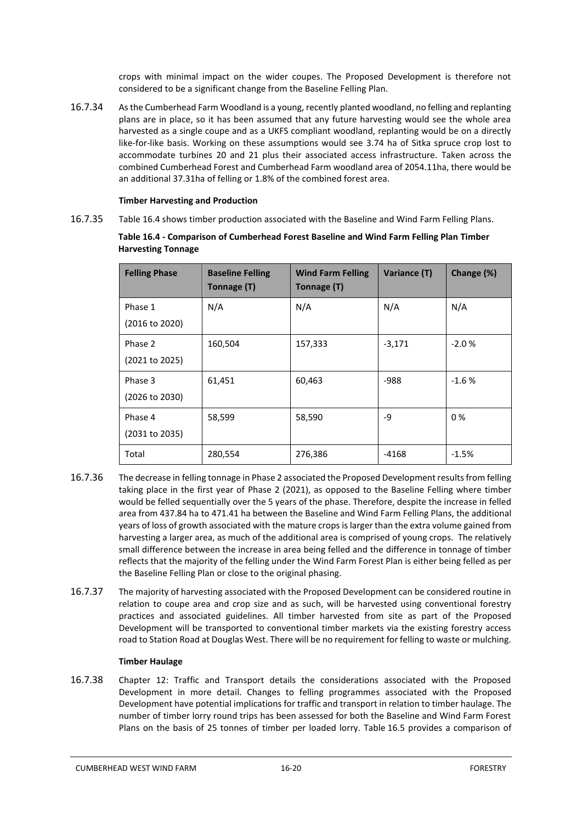crops with minimal impact on the wider coupes. The Proposed Development is therefore not considered to be a significant change from the Baseline Felling Plan.

16.7.34 As the Cumberhead Farm Woodland is a young, recently planted woodland, no felling and replanting plans are in place, so it has been assumed that any future harvesting would see the whole area harvested as a single coupe and as a UKFS compliant woodland, replanting would be on a directly like-for-like basis. Working on these assumptions would see 3.74 ha of Sitka spruce crop lost to accommodate turbines 20 and 21 plus their associated access infrastructure. Taken across the combined Cumberhead Forest and Cumberhead Farm woodland area of 2054.11ha, there would be an additional 37.31ha of felling or 1.8% of the combined forest area.

#### **Timber Harvesting and Production**

16.7.35 Table 16.4 shows timber production associated with the Baseline and Wind Farm Felling Plans.

**Table 16.4 - Comparison of Cumberhead Forest Baseline and Wind Farm Felling Plan Timber Harvesting Tonnage**

| <b>Felling Phase</b>      | <b>Baseline Felling</b><br>Tonnage (T) | <b>Wind Farm Felling</b><br>Tonnage (T) | Variance (T) | Change (%) |
|---------------------------|----------------------------------------|-----------------------------------------|--------------|------------|
| Phase 1<br>(2016 to 2020) | N/A                                    | N/A                                     | N/A          | N/A        |
| Phase 2<br>(2021 to 2025) | 160,504                                | 157,333                                 | $-3,171$     | $-2.0%$    |
| Phase 3<br>(2026 to 2030) | 61,451                                 | 60,463                                  | -988         | $-1.6%$    |
| Phase 4<br>(2031 to 2035) | 58,599                                 | 58,590                                  | -9           | 0 %        |
| Total                     | 280,554                                | 276,386                                 | -4168        | $-1.5%$    |

- 16.7.36 The decrease in felling tonnage in Phase 2 associated the Proposed Development results from felling taking place in the first year of Phase 2 (2021), as opposed to the Baseline Felling where timber would be felled sequentially over the 5 years of the phase. Therefore, despite the increase in felled area from 437.84 ha to 471.41 ha between the Baseline and Wind Farm Felling Plans, the additional years of loss of growth associated with the mature crops is larger than the extra volume gained from harvesting a larger area, as much of the additional area is comprised of young crops. The relatively small difference between the increase in area being felled and the difference in tonnage of timber reflects that the majority of the felling under the Wind Farm Forest Plan is either being felled as per the Baseline Felling Plan or close to the original phasing.
- 16.7.37 The majority of harvesting associated with the Proposed Development can be considered routine in relation to coupe area and crop size and as such, will be harvested using conventional forestry practices and associated guidelines. All timber harvested from site as part of the Proposed Development will be transported to conventional timber markets via the existing forestry access road to Station Road at Douglas West. There will be no requirement for felling to waste or mulching.

#### **Timber Haulage**

16.7.38 Chapter 12: Traffic and Transport details the considerations associated with the Proposed Development in more detail. Changes to felling programmes associated with the Proposed Development have potential implications for traffic and transport in relation to timber haulage. The number of timber lorry round trips has been assessed for both the Baseline and Wind Farm Forest Plans on the basis of 25 tonnes of timber per loaded lorry. Table 16.5 provides a comparison of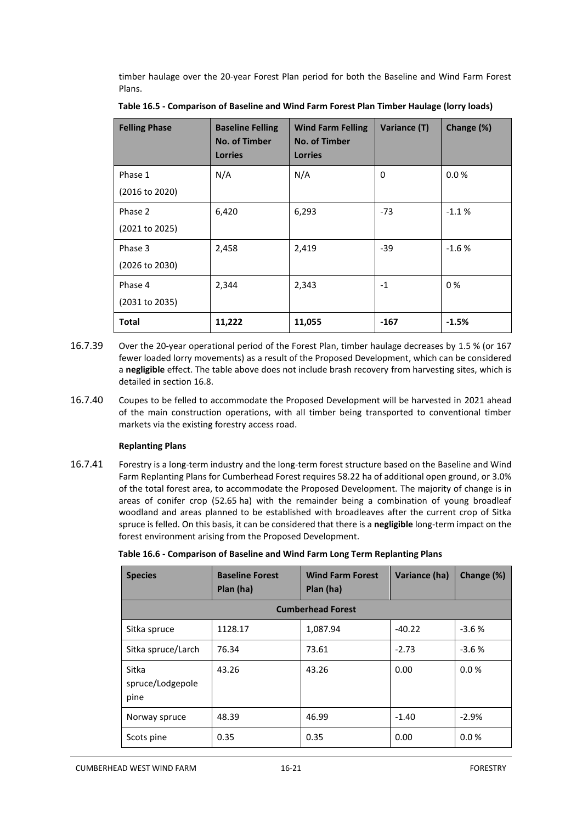timber haulage over the 20-year Forest Plan period for both the Baseline and Wind Farm Forest Plans.

| <b>Felling Phase</b> | <b>Baseline Felling</b><br><b>No. of Timber</b><br><b>Lorries</b> | <b>Wind Farm Felling</b><br><b>No. of Timber</b><br><b>Lorries</b> | Variance (T) | Change (%) |
|----------------------|-------------------------------------------------------------------|--------------------------------------------------------------------|--------------|------------|
| Phase 1              | N/A                                                               | N/A                                                                | 0            | 0.0%       |
| (2016 to 2020)       |                                                                   |                                                                    |              |            |
| Phase 2              | 6,420                                                             | 6,293                                                              | $-73$        | $-1.1%$    |
| (2021 to 2025)       |                                                                   |                                                                    |              |            |
| Phase 3              | 2,458                                                             | 2,419                                                              | -39          | $-1.6%$    |
| (2026 to 2030)       |                                                                   |                                                                    |              |            |
| Phase 4              | 2,344                                                             | 2,343                                                              | $-1$         | 0%         |
| (2031 to 2035)       |                                                                   |                                                                    |              |            |
| <b>Total</b>         | 11,222                                                            | 11,055                                                             | -167         | $-1.5%$    |

**Table 16.5 - Comparison of Baseline and Wind Farm Forest Plan Timber Haulage (lorry loads)**

- 16.7.39 Over the 20-year operational period of the Forest Plan, timber haulage decreases by 1.5 % (or 167 fewer loaded lorry movements) as a result of the Proposed Development, which can be considered a **negligible** effect. The table above does not include brash recovery from harvesting sites, which is detailed in section 16.8.
- 16.7.40 Coupes to be felled to accommodate the Proposed Development will be harvested in 2021 ahead of the main construction operations, with all timber being transported to conventional timber markets via the existing forestry access road.

#### **Replanting Plans**

16.7.41 Forestry is a long-term industry and the long-term forest structure based on the Baseline and Wind Farm Replanting Plans for Cumberhead Forest requires 58.22 ha of additional open ground, or 3.0% of the total forest area, to accommodate the Proposed Development. The majority of change is in areas of conifer crop (52.65 ha) with the remainder being a combination of young broadleaf woodland and areas planned to be established with broadleaves after the current crop of Sitka spruce is felled. On this basis, it can be considered that there is a **negligible** long-term impact on the forest environment arising from the Proposed Development.

|  | Table 16.6 - Comparison of Baseline and Wind Farm Long Term Replanting Plans |
|--|------------------------------------------------------------------------------|
|--|------------------------------------------------------------------------------|

| <b>Species</b>                    | <b>Baseline Forest</b><br>Plan (ha) | <b>Wind Farm Forest</b><br>Plan (ha) | Variance (ha) | Change (%) |
|-----------------------------------|-------------------------------------|--------------------------------------|---------------|------------|
|                                   |                                     | <b>Cumberhead Forest</b>             |               |            |
| Sitka spruce                      | 1128.17                             | 1,087.94                             | $-40.22$      | $-3.6%$    |
| Sitka spruce/Larch                | 76.34                               | 73.61                                | $-2.73$       | $-3.6%$    |
| Sitka<br>spruce/Lodgepole<br>pine | 43.26                               | 43.26                                | 0.00          | 0.0%       |
| Norway spruce                     | 48.39                               | 46.99                                | $-1.40$       | $-2.9%$    |
| Scots pine                        | 0.35                                | 0.35                                 | 0.00          | 0.0%       |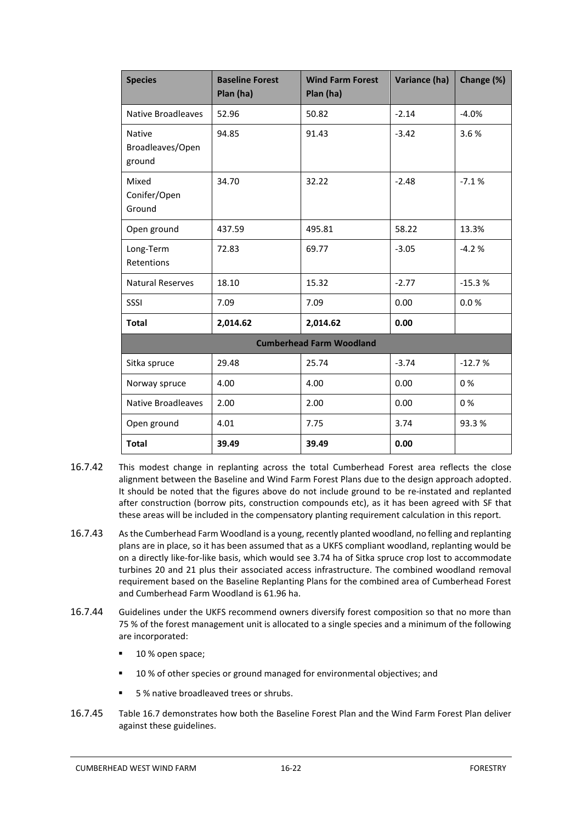| <b>Species</b>                              | <b>Baseline Forest</b><br>Plan (ha) | <b>Wind Farm Forest</b><br>Plan (ha) | Variance (ha) | Change (%) |
|---------------------------------------------|-------------------------------------|--------------------------------------|---------------|------------|
| <b>Native Broadleaves</b>                   | 52.96                               | 50.82                                | $-2.14$       | $-4.0%$    |
| <b>Native</b><br>Broadleaves/Open<br>ground | 94.85                               | 91.43                                | $-3.42$       | 3.6%       |
| Mixed<br>Conifer/Open<br>Ground             | 34.70                               | 32.22                                | $-2.48$       | $-7.1%$    |
| Open ground                                 | 437.59                              | 495.81                               | 58.22         | 13.3%      |
| Long-Term<br>Retentions                     | 72.83                               | 69.77                                | $-3.05$       | $-4.2%$    |
| <b>Natural Reserves</b>                     | 18.10                               | 15.32                                | $-2.77$       | $-15.3%$   |
| SSSI                                        | 7.09                                | 7.09                                 | 0.00          | 0.0%       |
| <b>Total</b>                                | 2,014.62                            | 2,014.62                             | 0.00          |            |
|                                             |                                     | <b>Cumberhead Farm Woodland</b>      |               |            |
| Sitka spruce                                | 29.48                               | 25.74                                | $-3.74$       | $-12.7%$   |
| Norway spruce                               | 4.00                                | 4.00                                 | 0.00          | 0%         |
| Native Broadleaves                          | 2.00                                | 2.00                                 | 0.00          | 0%         |
| Open ground                                 | 4.01                                | 7.75                                 | 3.74          | 93.3%      |
| <b>Total</b>                                | 39.49                               | 39.49                                | 0.00          |            |

- 16.7.42 This modest change in replanting across the total Cumberhead Forest area reflects the close alignment between the Baseline and Wind Farm Forest Plans due to the design approach adopted. It should be noted that the figures above do not include ground to be re-instated and replanted after construction (borrow pits, construction compounds etc), as it has been agreed with SF that these areas will be included in the compensatory planting requirement calculation in this report.
- 16.7.43 As the Cumberhead Farm Woodland is a young, recently planted woodland, no felling and replanting plans are in place, so it has been assumed that as a UKFS compliant woodland, replanting would be on a directly like-for-like basis, which would see 3.74 ha of Sitka spruce crop lost to accommodate turbines 20 and 21 plus their associated access infrastructure. The combined woodland removal requirement based on the Baseline Replanting Plans for the combined area of Cumberhead Forest and Cumberhead Farm Woodland is 61.96 ha.
- 16.7.44 Guidelines under the UKFS recommend owners diversify forest composition so that no more than 75 % of the forest management unit is allocated to a single species and a minimum of the following are incorporated:
	- 10 % open space;
	- 10 % of other species or ground managed for environmental objectives; and
	- 5 % native broadleaved trees or shrubs.
- 16.7.45 Table 16.7 demonstrates how both the Baseline Forest Plan and the Wind Farm Forest Plan deliver against these guidelines.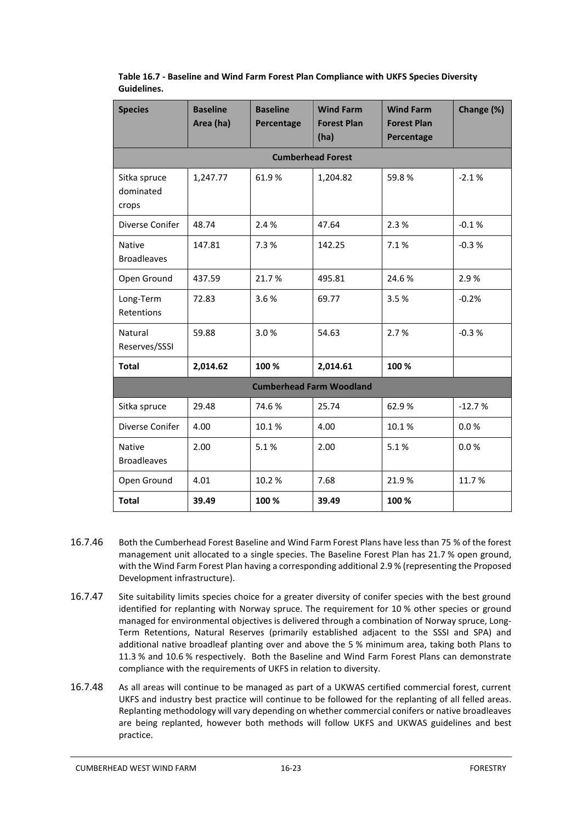| <b>Species</b>                      | <b>Baseline</b><br>Area (ha) | <b>Baseline</b><br>Percentage | <b>Wind Farm</b><br><b>Forest Plan</b><br>(ha) | <b>Wind Farm</b><br><b>Forest Plan</b><br>Percentage | Change (%) |
|-------------------------------------|------------------------------|-------------------------------|------------------------------------------------|------------------------------------------------------|------------|
|                                     |                              |                               | <b>Cumberhead Forest</b>                       |                                                      |            |
| Sitka spruce<br>dominated<br>crops  | 1,247.77                     | 61.9%                         | 1,204.82                                       | 59.8%                                                | $-2.1%$    |
| Diverse Conifer                     | 48.74                        | 2.4 %                         | 47.64                                          | 2.3 %                                                | $-0.1%$    |
| <b>Native</b><br><b>Broadleaves</b> | 147.81                       | 7.3%                          | 142.25                                         | 7.1%                                                 | $-0.3%$    |
| Open Ground                         | 437.59                       | 21.7%                         | 495.81                                         | 24.6%                                                | 2.9%       |
| Long-Term<br>Retentions             | 72.83                        | 3.6%                          | 69.77                                          | 3.5%                                                 | $-0.2%$    |
| Natural<br>Reserves/SSSI            | 59.88                        | 3.0%                          | 54.63                                          | 2.7%                                                 | $-0.3%$    |
| <b>Total</b>                        | 2,014.62                     | 100 %                         | 2,014.61                                       | 100 %                                                |            |
|                                     |                              |                               | <b>Cumberhead Farm Woodland</b>                |                                                      |            |
| Sitka spruce                        | 29.48                        | 74.6%                         | 25.74                                          | 62.9%                                                | $-12.7%$   |
| Diverse Conifer                     | 4.00                         | 10.1%                         | 4.00                                           | 10.1%                                                | 0.0%       |
| <b>Native</b><br><b>Broadleaves</b> | 2.00                         | 5.1%                          | 2.00                                           | 5.1%                                                 | 0.0 %      |
| Open Ground                         | 4.01                         | 10.2%                         | 7.68                                           | 21.9%                                                | 11.7%      |
| <b>Total</b>                        | 39.49                        | 100 %                         | 39.49                                          | 100 %                                                |            |

#### **Table 16.7 - Baseline and Wind Farm Forest Plan Compliance with UKFS Species Diversity Guidelines.**

- 16.7.46 Both the Cumberhead Forest Baseline and Wind Farm Forest Plans have less than 75 % of the forest management unit allocated to a single species. The Baseline Forest Plan has 21.7 % open ground, with the Wind Farm Forest Plan having a corresponding additional 2.9 % (representing the Proposed Development infrastructure).
- 16.7.47 Site suitability limits species choice for a greater diversity of conifer species with the best ground identified for replanting with Norway spruce. The requirement for 10 % other species or ground managed for environmental objectives is delivered through a combination of Norway spruce, Long-Term Retentions, Natural Reserves (primarily established adjacent to the SSSI and SPA) and additional native broadleaf planting over and above the 5 % minimum area, taking both Plans to 11.3 % and 10.6 % respectively. Both the Baseline and Wind Farm Forest Plans can demonstrate compliance with the requirements of UKFS in relation to diversity.
- 16.7.48 As all areas will continue to be managed as part of a UKWAS certified commercial forest, current UKFS and industry best practice will continue to be followed for the replanting of all felled areas. Replanting methodology will vary depending on whether commercial conifers or native broadleaves are being replanted, however both methods will follow UKFS and UKWAS guidelines and best practice.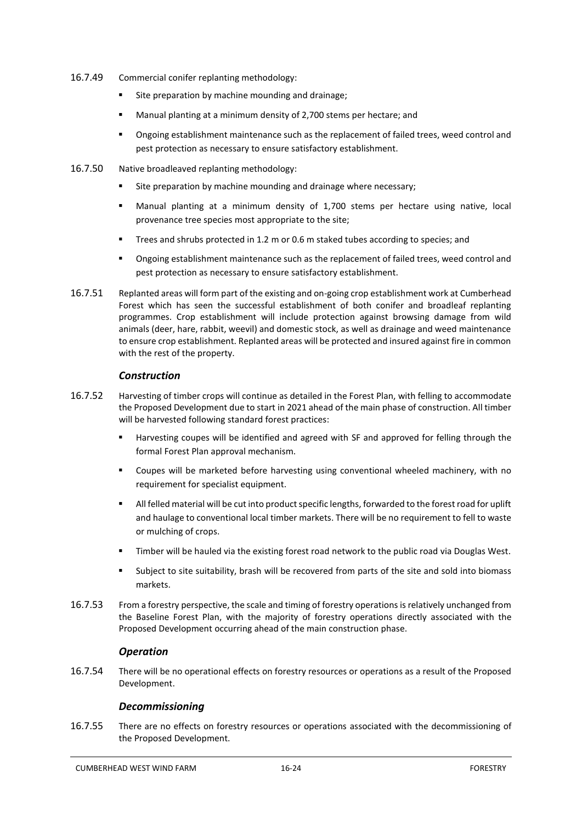- 16.7.49 Commercial conifer replanting methodology:
	- Site preparation by machine mounding and drainage:
	- Manual planting at a minimum density of 2,700 stems per hectare; and
	- Ongoing establishment maintenance such as the replacement of failed trees, weed control and pest protection as necessary to ensure satisfactory establishment.
- 16.7.50 Native broadleaved replanting methodology:
	- Site preparation by machine mounding and drainage where necessary;
	- Manual planting at a minimum density of 1,700 stems per hectare using native, local provenance tree species most appropriate to the site;
	- Trees and shrubs protected in 1.2 m or 0.6 m staked tubes according to species; and
	- **•** Ongoing establishment maintenance such as the replacement of failed trees, weed control and pest protection as necessary to ensure satisfactory establishment.
- 16.7.51 Replanted areas will form part of the existing and on-going crop establishment work at Cumberhead Forest which has seen the successful establishment of both conifer and broadleaf replanting programmes. Crop establishment will include protection against browsing damage from wild animals (deer, hare, rabbit, weevil) and domestic stock, as well as drainage and weed maintenance to ensure crop establishment. Replanted areas will be protected and insured against fire in common with the rest of the property.

#### *Construction*

- 16.7.52 Harvesting of timber crops will continue as detailed in the Forest Plan, with felling to accommodate the Proposed Development due to start in 2021 ahead of the main phase of construction. All timber will be harvested following standard forest practices:
	- Harvesting coupes will be identified and agreed with SF and approved for felling through the formal Forest Plan approval mechanism.
	- Coupes will be marketed before harvesting using conventional wheeled machinery, with no requirement for specialist equipment.
	- All felled material will be cut into product specific lengths, forwarded to the forest road for uplift and haulage to conventional local timber markets. There will be no requirement to fell to waste or mulching of crops.
	- Timber will be hauled via the existing forest road network to the public road via Douglas West.
	- Subject to site suitability, brash will be recovered from parts of the site and sold into biomass markets.
- 16.7.53 From a forestry perspective, the scale and timing of forestry operations is relatively unchanged from the Baseline Forest Plan, with the majority of forestry operations directly associated with the Proposed Development occurring ahead of the main construction phase.

#### *Operation*

16.7.54 There will be no operational effects on forestry resources or operations as a result of the Proposed Development.

#### *Decommissioning*

16.7.55 There are no effects on forestry resources or operations associated with the decommissioning of the Proposed Development.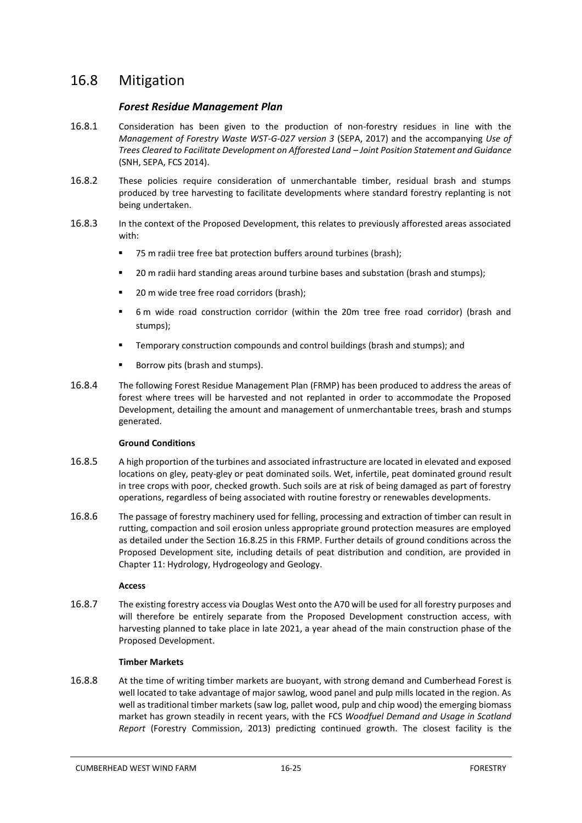### <span id="page-26-0"></span>16.8 Mitigation

#### *Forest Residue Management Plan*

- 16.8.1 Consideration has been given to the production of non-forestry residues in line with the *Management of Forestry Waste WST-G-027 version 3* (SEPA, 2017) and the accompanying *Use of Trees Cleared to Facilitate Development on Afforested Land – Joint Position Statement and Guidance* (SNH, SEPA, FCS 2014).
- 16.8.2 These policies require consideration of unmerchantable timber, residual brash and stumps produced by tree harvesting to facilitate developments where standard forestry replanting is not being undertaken.
- 16.8.3 In the context of the Proposed Development, this relates to previously afforested areas associated with:
	- 75 m radii tree free bat protection buffers around turbines (brash);
	- 20 m radii hard standing areas around turbine bases and substation (brash and stumps);
	- 20 m wide tree free road corridors (brash);
	- 6 m wide road construction corridor (within the 20m tree free road corridor) (brash and stumps);
	- **•** Temporary construction compounds and control buildings (brash and stumps); and
	- Borrow pits (brash and stumps).
- 16.8.4 The following Forest Residue Management Plan (FRMP) has been produced to address the areas of forest where trees will be harvested and not replanted in order to accommodate the Proposed Development, detailing the amount and management of unmerchantable trees, brash and stumps generated.

#### **Ground Conditions**

- 16.8.5 A high proportion of the turbines and associated infrastructure are located in elevated and exposed locations on gley, peaty-gley or peat dominated soils. Wet, infertile, peat dominated ground result in tree crops with poor, checked growth. Such soils are at risk of being damaged as part of forestry operations, regardless of being associated with routine forestry or renewables developments.
- 16.8.6 The passage of forestry machinery used for felling, processing and extraction of timber can result in rutting, compaction and soil erosion unless appropriate ground protection measures are employed as detailed under the Section 16.8.25 in this FRMP. Further details of ground conditions across the Proposed Development site, including details of peat distribution and condition, are provided in Chapter 11: Hydrology, Hydrogeology and Geology.

#### **Access**

16.8.7 The existing forestry access via Douglas West onto the A70 will be used for all forestry purposes and will therefore be entirely separate from the Proposed Development construction access, with harvesting planned to take place in late 2021, a year ahead of the main construction phase of the Proposed Development.

#### **Timber Markets**

16.8.8 At the time of writing timber markets are buoyant, with strong demand and Cumberhead Forest is well located to take advantage of major sawlog, wood panel and pulp mills located in the region. As well as traditional timber markets (saw log, pallet wood, pulp and chip wood) the emerging biomass market has grown steadily in recent years, with the FCS *Woodfuel Demand and Usage in Scotland Report* (Forestry Commission, 2013) predicting continued growth. The closest facility is the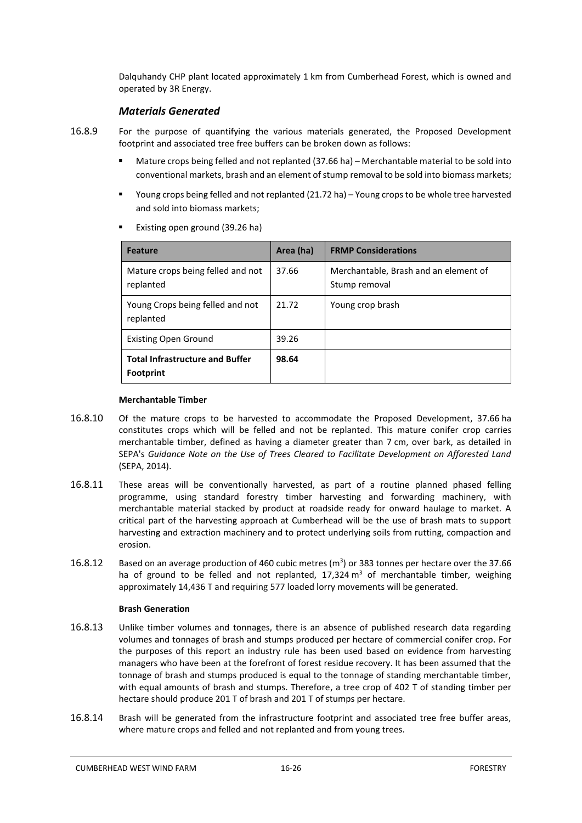Dalquhandy CHP plant located approximately 1 km from Cumberhead Forest, which is owned and operated by 3R Energy.

#### *Materials Generated*

- 16.8.9 For the purpose of quantifying the various materials generated, the Proposed Development footprint and associated tree free buffers can be broken down as follows:
	- Mature crops being felled and not replanted (37.66 ha) Merchantable material to be sold into conventional markets, brash and an element of stump removal to be sold into biomass markets;
	- Young crops being felled and not replanted (21.72 ha) Young crops to be whole tree harvested and sold into biomass markets;
	- **Feature Area (ha) FRMP** Considerations Mature crops being felled and not replanted 37.66 Merchantable, Brash and an element of Stump removal Young Crops being felled and not replanted 21.72 Young crop brash Existing Open Ground 39.26 **Total Infrastructure and Buffer Footprint 98.64**
	- Existing open ground (39.26 ha)

#### **Merchantable Timber**

- 16.8.10 Of the mature crops to be harvested to accommodate the Proposed Development, 37.66 ha constitutes crops which will be felled and not be replanted. This mature conifer crop carries merchantable timber, defined as having a diameter greater than 7 cm, over bark, as detailed in SEPA's *Guidance Note on the Use of Trees Cleared to Facilitate Development on Afforested Land* (SEPA, 2014).
- 16.8.11 These areas will be conventionally harvested, as part of a routine planned phased felling programme, using standard forestry timber harvesting and forwarding machinery, with merchantable material stacked by product at roadside ready for onward haulage to market. A critical part of the harvesting approach at Cumberhead will be the use of brash mats to support harvesting and extraction machinery and to protect underlying soils from rutting, compaction and erosion.
- 16.8.12 Based on an average production of 460 cubic metres ( $m<sup>3</sup>$ ) or 383 tonnes per hectare over the 37.66 ha of ground to be felled and not replanted,  $17,324 \text{ m}^3$  of merchantable timber, weighing approximately 14,436 T and requiring 577 loaded lorry movements will be generated.

#### **Brash Generation**

- 16.8.13 Unlike timber volumes and tonnages, there is an absence of published research data regarding volumes and tonnages of brash and stumps produced per hectare of commercial conifer crop. For the purposes of this report an industry rule has been used based on evidence from harvesting managers who have been at the forefront of forest residue recovery. It has been assumed that the tonnage of brash and stumps produced is equal to the tonnage of standing merchantable timber, with equal amounts of brash and stumps. Therefore, a tree crop of 402 T of standing timber per hectare should produce 201 T of brash and 201 T of stumps per hectare.
- 16.8.14 Brash will be generated from the infrastructure footprint and associated tree free buffer areas, where mature crops and felled and not replanted and from young trees.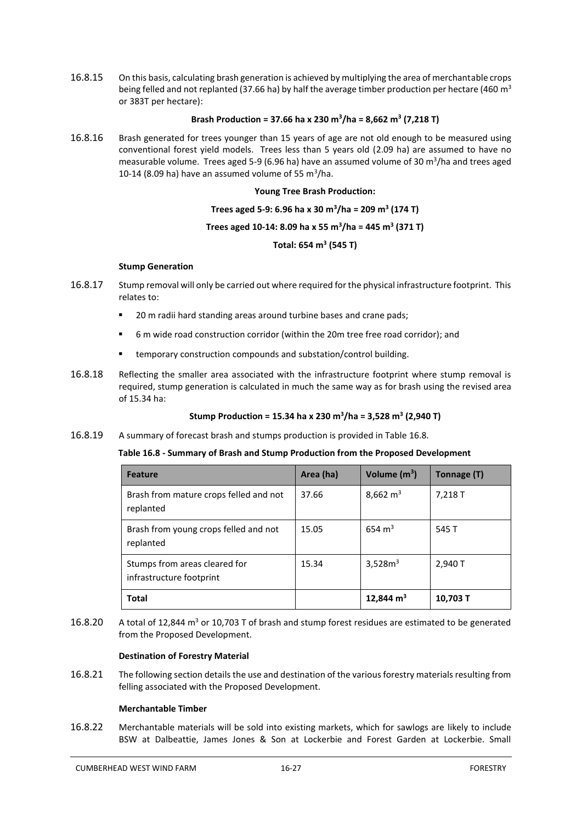16.8.15 On this basis, calculating brash generation is achieved by multiplying the area of merchantable crops being felled and not replanted (37.66 ha) by half the average timber production per hectare (460  $m<sup>3</sup>$ or 383T per hectare):

#### **Brash Production = 37.66 ha x 230 m<sup>3</sup> /ha = 8,662 m<sup>3</sup> (7,218 T)**

16.8.16 Brash generated for trees younger than 15 years of age are not old enough to be measured using conventional forest yield models. Trees less than 5 years old (2.09 ha) are assumed to have no measurable volume. Trees aged 5-9 (6.96 ha) have an assumed volume of 30 m<sup>3</sup>/ha and trees aged 10-14 (8.09 ha) have an assumed volume of 55  $m^3/ha$ .

#### **Young Tree Brash Production:**

#### **Trees aged 5-9: 6.96 ha x 30 m<sup>3</sup> /ha = 209 m<sup>3</sup> (174 T)**

#### **Trees aged 10-14: 8.09 ha x 55 m<sup>3</sup> /ha = 445 m<sup>3</sup> (371 T)**

#### **Total: 654 m<sup>3</sup> (545 T)**

#### **Stump Generation**

- 16.8.17 Stump removal will only be carried out where required for the physical infrastructure footprint. This relates to:
	- 20 m radii hard standing areas around turbine bases and crane pads;
	- 6 m wide road construction corridor (within the 20m tree free road corridor); and
	- temporary construction compounds and substation/control building.
- 16.8.18 Reflecting the smaller area associated with the infrastructure footprint where stump removal is required, stump generation is calculated in much the same way as for brash using the revised area of 15.34 ha:

#### **Stump Production = 15.34 ha x 230 m<sup>3</sup> /ha = 3,528 m<sup>3</sup> (2,940 T)**

16.8.19 A summary of forecast brash and stumps production is provided in Table 16.8.

#### **Table 16.8 - Summary of Brash and Stump Production from the Proposed Development**

| <b>Feature</b>                                            | Area (ha) | Volume $(m^3)$      | Tonnage (T) |
|-----------------------------------------------------------|-----------|---------------------|-------------|
| Brash from mature crops felled and not<br>replanted       | 37.66     | 8,662 $m3$          | 7,218 T     |
| Brash from young crops felled and not<br>replanted        | 15.05     | 654 $m3$            | 545 T       |
| Stumps from areas cleared for<br>infrastructure footprint | 15.34     | 3,528m <sup>3</sup> | 2,940 T     |
| <b>Total</b>                                              |           | 12,844 $m3$         | 10,703 T    |

16.8.20 A total of 12,844 m<sup>3</sup> or 10,703 T of brash and stump forest residues are estimated to be generated from the Proposed Development.

#### **Destination of Forestry Material**

16.8.21 The following section details the use and destination of the various forestry materials resulting from felling associated with the Proposed Development.

#### **Merchantable Timber**

16.8.22 Merchantable materials will be sold into existing markets, which for sawlogs are likely to include BSW at Dalbeattie, James Jones & Son at Lockerbie and Forest Garden at Lockerbie. Small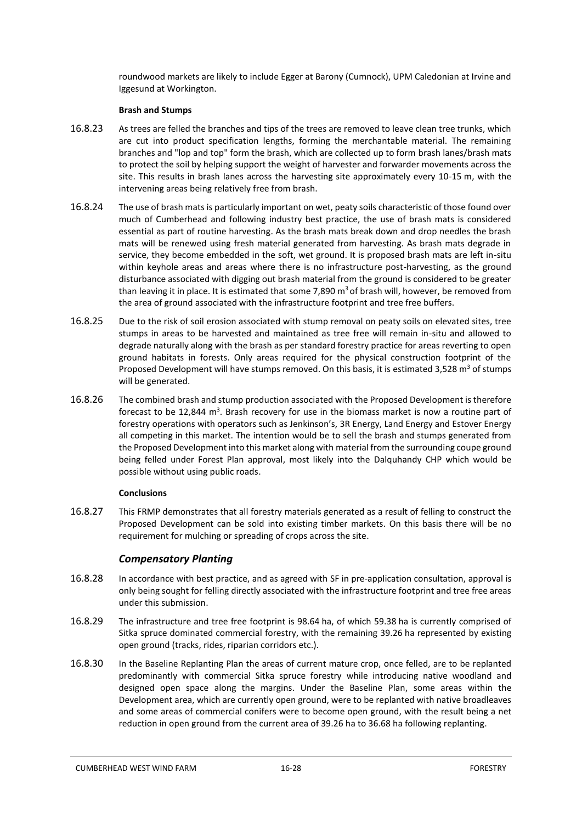roundwood markets are likely to include Egger at Barony (Cumnock), UPM Caledonian at Irvine and Iggesund at Workington.

#### **Brash and Stumps**

- 16.8.23 As trees are felled the branches and tips of the trees are removed to leave clean tree trunks, which are cut into product specification lengths, forming the merchantable material. The remaining branches and "lop and top" form the brash, which are collected up to form brash lanes/brash mats to protect the soil by helping support the weight of harvester and forwarder movements across the site. This results in brash lanes across the harvesting site approximately every 10-15 m, with the intervening areas being relatively free from brash.
- 16.8.24 The use of brash mats is particularly important on wet, peaty soils characteristic of those found over much of Cumberhead and following industry best practice, the use of brash mats is considered essential as part of routine harvesting. As the brash mats break down and drop needles the brash mats will be renewed using fresh material generated from harvesting. As brash mats degrade in service, they become embedded in the soft, wet ground. It is proposed brash mats are left in-situ within keyhole areas and areas where there is no infrastructure post-harvesting, as the ground disturbance associated with digging out brash material from the ground is considered to be greater than leaving it in place. It is estimated that some 7,890  $m<sup>3</sup>$  of brash will, however, be removed from the area of ground associated with the infrastructure footprint and tree free buffers.
- 16.8.25 Due to the risk of soil erosion associated with stump removal on peaty soils on elevated sites, tree stumps in areas to be harvested and maintained as tree free will remain in-situ and allowed to degrade naturally along with the brash as per standard forestry practice for areas reverting to open ground habitats in forests. Only areas required for the physical construction footprint of the Proposed Development will have stumps removed. On this basis, it is estimated 3,528 m<sup>3</sup> of stumps will be generated.
- 16.8.26 The combined brash and stump production associated with the Proposed Development is therefore forecast to be 12,844 m<sup>3</sup>. Brash recovery for use in the biomass market is now a routine part of forestry operations with operators such as Jenkinson's, 3R Energy, Land Energy and Estover Energy all competing in this market. The intention would be to sell the brash and stumps generated from the Proposed Development into this market along with material from the surrounding coupe ground being felled under Forest Plan approval, most likely into the Dalquhandy CHP which would be possible without using public roads.

#### **Conclusions**

16.8.27 This FRMP demonstrates that all forestry materials generated as a result of felling to construct the Proposed Development can be sold into existing timber markets. On this basis there will be no requirement for mulching or spreading of crops across the site.

#### *Compensatory Planting*

- 16.8.28 In accordance with best practice, and as agreed with SF in pre-application consultation, approval is only being sought for felling directly associated with the infrastructure footprint and tree free areas under this submission.
- 16.8.29 The infrastructure and tree free footprint is 98.64 ha, of which 59.38 ha is currently comprised of Sitka spruce dominated commercial forestry, with the remaining 39.26 ha represented by existing open ground (tracks, rides, riparian corridors etc.).
- 16.8.30 In the Baseline Replanting Plan the areas of current mature crop, once felled, are to be replanted predominantly with commercial Sitka spruce forestry while introducing native woodland and designed open space along the margins. Under the Baseline Plan, some areas within the Development area, which are currently open ground, were to be replanted with native broadleaves and some areas of commercial conifers were to become open ground, with the result being a net reduction in open ground from the current area of 39.26 ha to 36.68 ha following replanting.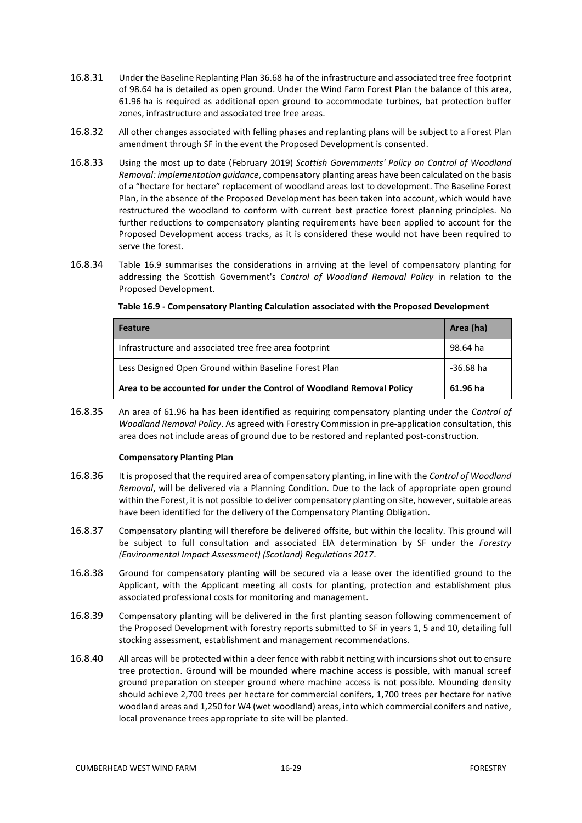- 16.8.31 Under the Baseline Replanting Plan 36.68 ha of the infrastructure and associated tree free footprint of 98.64 ha is detailed as open ground. Under the Wind Farm Forest Plan the balance of this area, 61.96 ha is required as additional open ground to accommodate turbines, bat protection buffer zones, infrastructure and associated tree free areas.
- 16.8.32 All other changes associated with felling phases and replanting plans will be subject to a Forest Plan amendment through SF in the event the Proposed Development is consented.
- 16.8.33 Using the most up to date (February 2019) *Scottish Governments' Policy on Control of Woodland Removal: implementation guidance*, compensatory planting areas have been calculated on the basis of a "hectare for hectare" replacement of woodland areas lost to development. The Baseline Forest Plan, in the absence of the Proposed Development has been taken into account, which would have restructured the woodland to conform with current best practice forest planning principles. No further reductions to compensatory planting requirements have been applied to account for the Proposed Development access tracks, as it is considered these would not have been required to serve the forest.
- 16.8.34 Table 16.9 summarises the considerations in arriving at the level of compensatory planting for addressing the Scottish Government's *Control of Woodland Removal Policy* in relation to the Proposed Development.

| <b>Feature</b>                                                        | Area (ha)   |
|-----------------------------------------------------------------------|-------------|
| Infrastructure and associated tree free area footprint                | 98.64 ha    |
| Less Designed Open Ground within Baseline Forest Plan                 | $-36.68$ ha |
| Area to be accounted for under the Control of Woodland Removal Policy | 61.96 ha    |

**Table 16.9 - Compensatory Planting Calculation associated with the Proposed Development**

16.8.35 An area of 61.96 ha has been identified as requiring compensatory planting under the *Control of Woodland Removal Policy*. As agreed with Forestry Commission in pre-application consultation, this area does not include areas of ground due to be restored and replanted post-construction.

#### **Compensatory Planting Plan**

- 16.8.36 It is proposed that the required area of compensatory planting, in line with the *Control of Woodland Removal*, will be delivered via a Planning Condition. Due to the lack of appropriate open ground within the Forest, it is not possible to deliver compensatory planting on site, however, suitable areas have been identified for the delivery of the Compensatory Planting Obligation.
- 16.8.37 Compensatory planting will therefore be delivered offsite, but within the locality. This ground will be subject to full consultation and associated EIA determination by SF under the *Forestry (Environmental Impact Assessment) (Scotland) Regulations 2017*.
- 16.8.38 Ground for compensatory planting will be secured via a lease over the identified ground to the Applicant, with the Applicant meeting all costs for planting, protection and establishment plus associated professional costs for monitoring and management.
- 16.8.39 Compensatory planting will be delivered in the first planting season following commencement of the Proposed Development with forestry reports submitted to SF in years 1, 5 and 10, detailing full stocking assessment, establishment and management recommendations.
- 16.8.40 All areas will be protected within a deer fence with rabbit netting with incursions shot out to ensure tree protection. Ground will be mounded where machine access is possible, with manual screef ground preparation on steeper ground where machine access is not possible. Mounding density should achieve 2,700 trees per hectare for commercial conifers, 1,700 trees per hectare for native woodland areas and 1,250 for W4 (wet woodland) areas, into which commercial conifers and native, local provenance trees appropriate to site will be planted.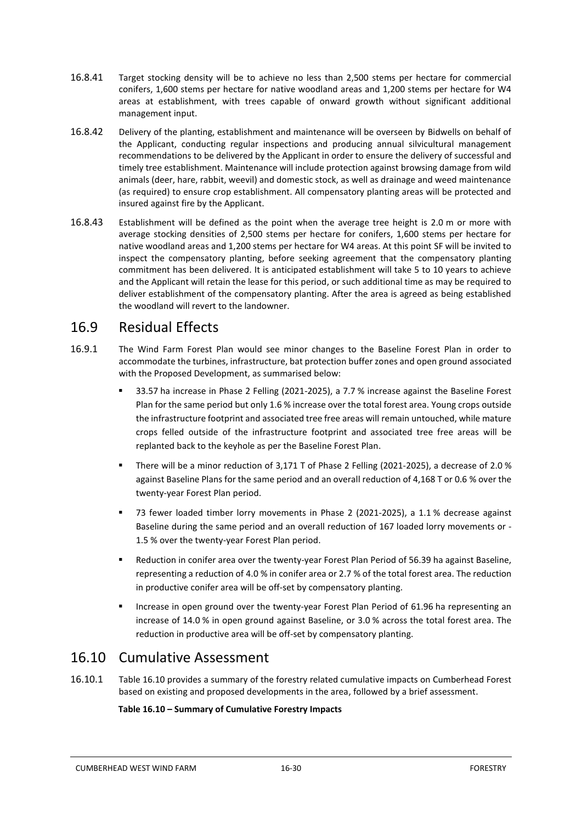- 16.8.41 Target stocking density will be to achieve no less than 2,500 stems per hectare for commercial conifers, 1,600 stems per hectare for native woodland areas and 1,200 stems per hectare for W4 areas at establishment, with trees capable of onward growth without significant additional management input.
- 16.8.42 Delivery of the planting, establishment and maintenance will be overseen by Bidwells on behalf of the Applicant, conducting regular inspections and producing annual silvicultural management recommendations to be delivered by the Applicant in order to ensure the delivery of successful and timely tree establishment. Maintenance will include protection against browsing damage from wild animals (deer, hare, rabbit, weevil) and domestic stock, as well as drainage and weed maintenance (as required) to ensure crop establishment. All compensatory planting areas will be protected and insured against fire by the Applicant.
- 16.8.43 Establishment will be defined as the point when the average tree height is 2.0 m or more with average stocking densities of 2,500 stems per hectare for conifers, 1,600 stems per hectare for native woodland areas and 1,200 stems per hectare for W4 areas. At this point SF will be invited to inspect the compensatory planting, before seeking agreement that the compensatory planting commitment has been delivered. It is anticipated establishment will take 5 to 10 years to achieve and the Applicant will retain the lease for this period, or such additional time as may be required to deliver establishment of the compensatory planting. After the area is agreed as being established the woodland will revert to the landowner.

## <span id="page-31-0"></span>16.9 Residual Effects

- 16.9.1 The Wind Farm Forest Plan would see minor changes to the Baseline Forest Plan in order to accommodate the turbines, infrastructure, bat protection buffer zones and open ground associated with the Proposed Development, as summarised below:
	- 33.57 ha increase in Phase 2 Felling (2021-2025), a 7.7 % increase against the Baseline Forest Plan for the same period but only 1.6 % increase over the total forest area. Young crops outside the infrastructure footprint and associated tree free areas will remain untouched, while mature crops felled outside of the infrastructure footprint and associated tree free areas will be replanted back to the keyhole as per the Baseline Forest Plan.
	- There will be a minor reduction of 3,171 T of Phase 2 Felling (2021-2025), a decrease of 2.0 % against Baseline Plans for the same period and an overall reduction of 4,168 T or 0.6 % over the twenty-year Forest Plan period.
	- 73 fewer loaded timber lorry movements in Phase 2 (2021-2025), a 1.1 % decrease against Baseline during the same period and an overall reduction of 167 loaded lorry movements or - 1.5 % over the twenty-year Forest Plan period.
	- Reduction in conifer area over the twenty-year Forest Plan Period of 56.39 ha against Baseline, representing a reduction of 4.0 % in conifer area or 2.7 % of the total forest area. The reduction in productive conifer area will be off-set by compensatory planting.
	- Increase in open ground over the twenty-year Forest Plan Period of 61.96 ha representing an increase of 14.0 % in open ground against Baseline, or 3.0 % across the total forest area. The reduction in productive area will be off-set by compensatory planting.

## <span id="page-31-1"></span>16.10 Cumulative Assessment

16.10.1 Table 16.10 provides a summary of the forestry related cumulative impacts on Cumberhead Forest based on existing and proposed developments in the area, followed by a brief assessment.

#### **Table 16.10 – Summary of Cumulative Forestry Impacts**

CUMBERHEAD WEST WIND FARM 16-30 FORESTRY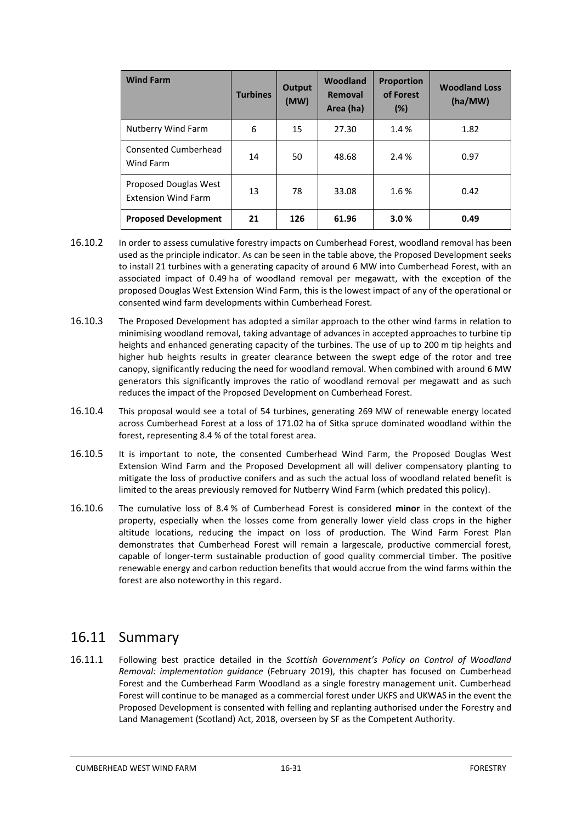| <b>Wind Farm</b>                                    | <b>Turbines</b> | <b>Output</b><br>(MW) | <b>Woodland</b><br>Removal<br>Area (ha) | <b>Proportion</b><br>of Forest<br>(%) | <b>Woodland Loss</b><br>(ha/MW) |
|-----------------------------------------------------|-----------------|-----------------------|-----------------------------------------|---------------------------------------|---------------------------------|
| <b>Nutberry Wind Farm</b>                           | 6               | 15                    | 27.30                                   | 1.4 %                                 | 1.82                            |
| Consented Cumberhead<br>Wind Farm                   | 14              | 50                    | 48.68                                   | 2.4 %                                 | 0.97                            |
| Proposed Douglas West<br><b>Extension Wind Farm</b> | 13              | 78                    | 33.08                                   | 1.6%                                  | 0.42                            |
| <b>Proposed Development</b>                         | 21              | 126                   | 61.96                                   | 3.0%                                  | 0.49                            |

- 16.10.2 In order to assess cumulative forestry impacts on Cumberhead Forest, woodland removal has been used as the principle indicator. As can be seen in the table above, the Proposed Development seeks to install 21 turbines with a generating capacity of around 6 MW into Cumberhead Forest, with an associated impact of 0.49 ha of woodland removal per megawatt, with the exception of the proposed Douglas West Extension Wind Farm, this is the lowest impact of any of the operational or consented wind farm developments within Cumberhead Forest.
- 16.10.3 The Proposed Development has adopted a similar approach to the other wind farms in relation to minimising woodland removal, taking advantage of advances in accepted approaches to turbine tip heights and enhanced generating capacity of the turbines. The use of up to 200 m tip heights and higher hub heights results in greater clearance between the swept edge of the rotor and tree canopy, significantly reducing the need for woodland removal. When combined with around 6 MW generators this significantly improves the ratio of woodland removal per megawatt and as such reduces the impact of the Proposed Development on Cumberhead Forest.
- 16.10.4 This proposal would see a total of 54 turbines, generating 269 MW of renewable energy located across Cumberhead Forest at a loss of 171.02 ha of Sitka spruce dominated woodland within the forest, representing 8.4 % of the total forest area.
- 16.10.5 It is important to note, the consented Cumberhead Wind Farm, the Proposed Douglas West Extension Wind Farm and the Proposed Development all will deliver compensatory planting to mitigate the loss of productive conifers and as such the actual loss of woodland related benefit is limited to the areas previously removed for Nutberry Wind Farm (which predated this policy).
- 16.10.6 The cumulative loss of 8.4 % of Cumberhead Forest is considered **minor** in the context of the property, especially when the losses come from generally lower yield class crops in the higher altitude locations, reducing the impact on loss of production. The Wind Farm Forest Plan demonstrates that Cumberhead Forest will remain a largescale, productive commercial forest, capable of longer-term sustainable production of good quality commercial timber. The positive renewable energy and carbon reduction benefits that would accrue from the wind farms within the forest are also noteworthy in this regard.

# <span id="page-32-0"></span>16.11 Summary

16.11.1 Following best practice detailed in the *Scottish Government's Policy on Control of Woodland Removal: implementation guidance* (February 2019), this chapter has focused on Cumberhead Forest and the Cumberhead Farm Woodland as a single forestry management unit. Cumberhead Forest will continue to be managed as a commercial forest under UKFS and UKWAS in the event the Proposed Development is consented with felling and replanting authorised under the Forestry and Land Management (Scotland) Act, 2018, overseen by SF as the Competent Authority.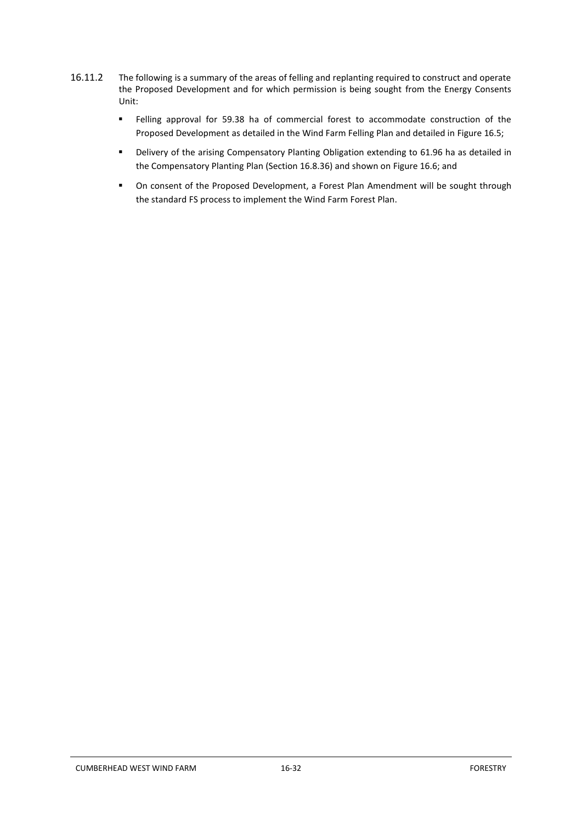- 16.11.2 The following is a summary of the areas of felling and replanting required to construct and operate the Proposed Development and for which permission is being sought from the Energy Consents Unit:
	- Felling approval for 59.38 ha of commercial forest to accommodate construction of the Proposed Development as detailed in the Wind Farm Felling Plan and detailed in Figure 16.5;
	- Delivery of the arising Compensatory Planting Obligation extending to 61.96 ha as detailed in the Compensatory Planting Plan (Section 16.8.36) and shown on Figure 16.6; and
	- On consent of the Proposed Development, a Forest Plan Amendment will be sought through the standard FS process to implement the Wind Farm Forest Plan.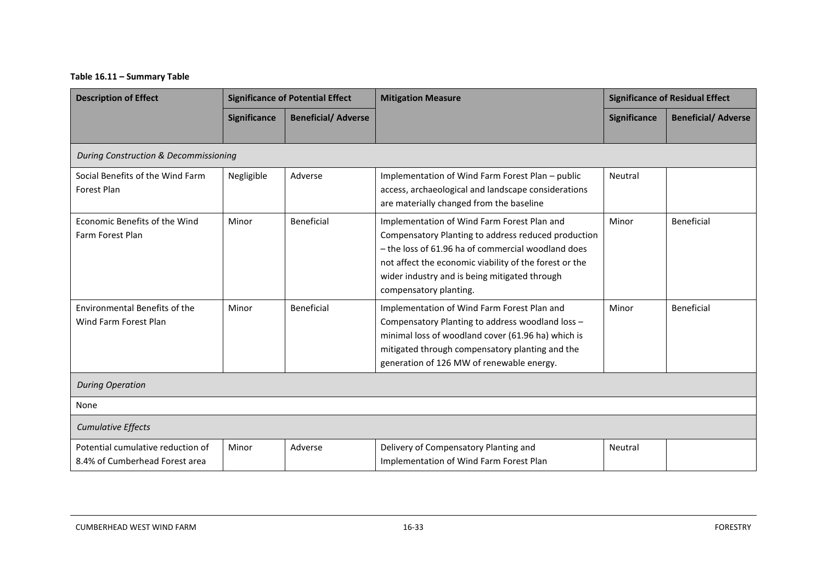#### **Table 16.11 – Summary Table**

| <b>Description of Effect</b>                                        | <b>Significance of Potential Effect</b> |                            | <b>Mitigation Measure</b>                                                                                                                                                                                                                                                                     | <b>Significance of Residual Effect</b> |                            |  |  |  |  |  |
|---------------------------------------------------------------------|-----------------------------------------|----------------------------|-----------------------------------------------------------------------------------------------------------------------------------------------------------------------------------------------------------------------------------------------------------------------------------------------|----------------------------------------|----------------------------|--|--|--|--|--|
|                                                                     | <b>Significance</b>                     | <b>Beneficial/ Adverse</b> |                                                                                                                                                                                                                                                                                               | <b>Significance</b>                    | <b>Beneficial/ Adverse</b> |  |  |  |  |  |
|                                                                     |                                         |                            |                                                                                                                                                                                                                                                                                               |                                        |                            |  |  |  |  |  |
| <b>During Construction &amp; Decommissioning</b>                    |                                         |                            |                                                                                                                                                                                                                                                                                               |                                        |                            |  |  |  |  |  |
| Social Benefits of the Wind Farm<br><b>Forest Plan</b>              | Negligible                              | Adverse                    | Implementation of Wind Farm Forest Plan - public<br>access, archaeological and landscape considerations<br>are materially changed from the baseline                                                                                                                                           | Neutral                                |                            |  |  |  |  |  |
| Economic Benefits of the Wind<br>Farm Forest Plan                   | Minor                                   | Beneficial                 | Implementation of Wind Farm Forest Plan and<br>Compensatory Planting to address reduced production<br>- the loss of 61.96 ha of commercial woodland does<br>not affect the economic viability of the forest or the<br>wider industry and is being mitigated through<br>compensatory planting. | Minor                                  | <b>Beneficial</b>          |  |  |  |  |  |
| <b>Environmental Benefits of the</b><br>Wind Farm Forest Plan       | Minor                                   | Beneficial                 | Implementation of Wind Farm Forest Plan and<br>Compensatory Planting to address woodland loss -<br>minimal loss of woodland cover (61.96 ha) which is<br>mitigated through compensatory planting and the<br>generation of 126 MW of renewable energy.                                         | Minor                                  | <b>Beneficial</b>          |  |  |  |  |  |
| <b>During Operation</b>                                             |                                         |                            |                                                                                                                                                                                                                                                                                               |                                        |                            |  |  |  |  |  |
| None                                                                |                                         |                            |                                                                                                                                                                                                                                                                                               |                                        |                            |  |  |  |  |  |
| <b>Cumulative Effects</b>                                           |                                         |                            |                                                                                                                                                                                                                                                                                               |                                        |                            |  |  |  |  |  |
| Potential cumulative reduction of<br>8.4% of Cumberhead Forest area | Minor                                   | Adverse                    | Delivery of Compensatory Planting and<br>Implementation of Wind Farm Forest Plan                                                                                                                                                                                                              | Neutral                                |                            |  |  |  |  |  |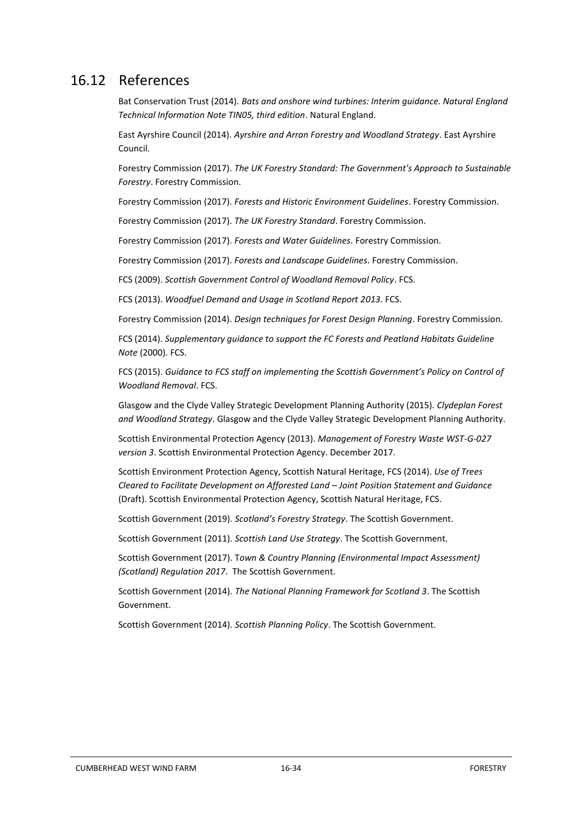## <span id="page-35-0"></span>16.12 References

Bat Conservation Trust (2014). *Bats and onshore wind turbines: Interim guidance. Natural England Technical Information Note TIN05, third edition*. Natural England.

East Ayrshire Council (2014). *Ayrshire and Arran Forestry and Woodland Strategy*. East Ayrshire Council.

Forestry Commission (2017). *The UK Forestry Standard: The Government's Approach to Sustainable Forestry*. Forestry Commission.

Forestry Commission (2017). *Forests and Historic Environment Guidelines*. Forestry Commission.

Forestry Commission (2017). *The UK Forestry Standard*. Forestry Commission.

Forestry Commission (2017). *Forests and Water Guidelines*. Forestry Commission.

Forestry Commission (2017). *Forests and Landscape Guidelines*. Forestry Commission.

FCS (2009). *Scottish Government Control of Woodland Removal Policy*. FCS.

FCS (2013). *Woodfuel Demand and Usage in Scotland Report 2013*. FCS.

Forestry Commission (2014). *Design techniques for Forest Design Planning*. Forestry Commission.

FCS (2014). *Supplementary guidance to support the FC Forests and Peatland Habitats Guideline Note* (2000). FCS.

FCS (2015). *Guidance to FCS staff on implementing the Scottish Government's Policy on Control of Woodland Removal*. FCS.

Glasgow and the Clyde Valley Strategic Development Planning Authority (2015). *Clydeplan Forest and Woodland Strategy*. Glasgow and the Clyde Valley Strategic Development Planning Authority.

Scottish Environmental Protection Agency (2013). *Management of Forestry Waste WST-G-027 version 3*. Scottish Environmental Protection Agency. December 2017.

Scottish Environment Protection Agency, Scottish Natural Heritage, FCS (2014). *Use of Trees Cleared to Facilitate Development on Afforested Land – Joint Position Statement and Guidance* (Draft). Scottish Environmental Protection Agency, Scottish Natural Heritage, FCS.

Scottish Government (2019). *Scotland's Forestry Strategy*. The Scottish Government.

Scottish Government (2011). *Scottish Land Use Strategy*. The Scottish Government.

Scottish Government (2017). T*own & Country Planning (Environmental Impact Assessment) (Scotland) Regulation 2017*. The Scottish Government.

Scottish Government (2014). *The National Planning Framework for Scotland 3*. The Scottish Government.

Scottish Government (2014). *Scottish Planning Policy*. The Scottish Government.